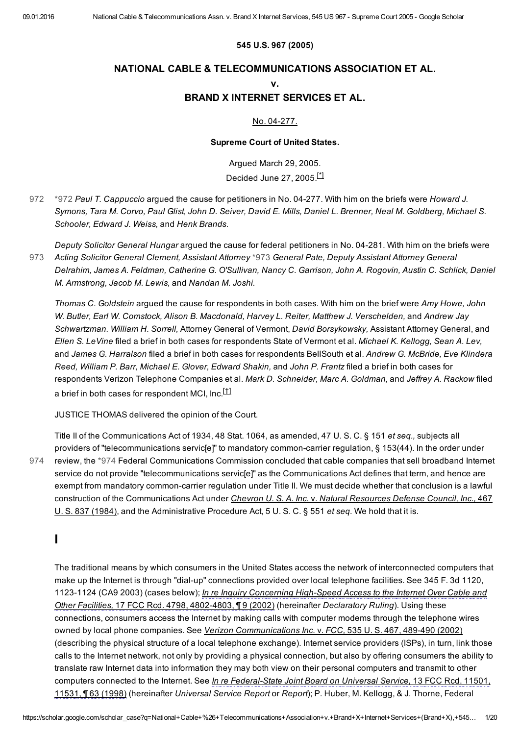### 545 U.S. 967 (2005)

### NATIONAL CABLE & TELECOMMUNICATIONS ASSOCIATION ET AL.

v.

### BRAND X INTERNET SERVICES ET AL.

### <span id="page-0-3"></span>No. 04-277.

### Supreme Court of United States.

<span id="page-0-1"></span>Argued March 29, 2005. Decided June 27, 2005. [\*]

- <span id="page-0-0"></span>[972](#page-0-0)  $*$ 972 *Paul T. Cappuccio* argued the cause for petitioners in No. 04-277. With him on the briefs were *Howard J.* Symons, Tara M. Corvo, Paul Glist, John D. Seiver, David E. Mills, Daniel L. Brenner, Neal M. Goldberg, Michael S. *Schooler, Edward J. Weiss,* and *Henk Brands.*
- *Deputy Solicitor General Hungar* argued the cause for federal petitioners in No. 04281. With him on the briefs were *Acting Solicitor General Clement, Assistant Attorney* [\\*973](#page-0-1) *General Pate, Deputy Assistant Attorney General* Delrahim, James A. Feldman, Catherine G. O'Sullivan, Nancy C. Garrison, John A. Rogovin, Austin C. Schlick, Daniel *M. Armstrong, Jacob M. Lewis,* and *Nandan M. Joshi.* [973](#page-0-1)

*Thomas C. Goldstein* argued the cause for respondents in both cases. With him on the brief were *Amy Howe, John W. Butler, Earl W. Comstock, Alison B. Macdonald, Harvey L. Reiter, Matthew J. Verschelden,* and *Andrew Jay Schwartzman. William H. Sorrell,* Attorney General of Vermont, *David Borsykowsky,* Assistant Attorney General, and *Ellen S. LeVine* filed a brief in both cases for respondents State of Vermont et al. *Michael K. Kellogg, Sean A. Lev,* and *James G. Harralson* filed a brief in both cases for respondents BellSouth et al. *Andrew G. McBride, Eve Klindera Reed, William P. Barr, Michael E. Glover, Edward Shakin,* and *John P. Frantz* filed a brief in both cases for respondents Verizon Telephone Companies et al. *Mark D. Schneider, Marc A. Goldman,* and *Jeffrey A. Rackow* filed a brief in both cases for respondent MCI, Inc. $^{\text{[}\pm\text{]}}$ 

<span id="page-0-4"></span>JUSTICE THOMAS delivered the opinion of the Court.

[974](#page-0-2)

<span id="page-0-2"></span>Title II of the Communications Act of 1934, 48 Stat. 1064, as amended, 47 U. S. C. § 151 *et seq.,* subjects all providers of "telecommunications servic[e]" to mandatory common-carrier regulation, § 153(44). In the order under review, the [\\*974](#page-0-2) Federal Communications Commission concluded that cable companies that sell broadband Internet service do not provide "telecommunications servic[e]" as the Communications Act defines that term, and hence are exempt from mandatory common-carrier regulation under Title II. We must decide whether that conclusion is a lawful construction of the [Communications](https://scholar.google.com/scholar_case?case=14437597860792759765&q=National+Cable+%26+Telecommunications+Association+v.+Brand+X+Internet+Services+(Brand+X),+545+U.S.+967,+125+S.Ct.+2688,+162+Lae+Ed.2d+820+(2005)&hl=en&as_sdt=6,33&scilh=0) Act under *Chevron U. S. A. Inc.* v. *Natural Resources Defense Council, Inc.,* 467 U. S. 837 (1984), and the Administrative Procedure Act, 5 U. S. C. § 551 *et seq.* We hold that it is.

# I

The traditional means by which consumers in the United States access the network of interconnected computers that make up the Internet is through "dial-up" connections provided over local telephone facilities. See 345 F. 3d 1120, 1123-1124 (CA9 2003) (cases below); *In re Inquiry Concerning High-Speed Access to the Internet Over Cable and Other Facilities,* 17 FCC Rcd. 4798, 48024803, ¶ 9 (2002) (hereinafter *Declaratory Ruling*). Using these connections, consumers access the Internet by making calls with computer modems through the telephone wires owned by local phone companies. See *Verizon [Communications](https://scholar.google.com/scholar_case?case=3021588905145011434&q=National+Cable+%26+Telecommunications+Association+v.+Brand+X+Internet+Services+(Brand+X),+545+U.S.+967,+125+S.Ct.+2688,+162+Lae+Ed.2d+820+(2005)&hl=en&as_sdt=6,33&scilh=0) Inc.* v. *FCC,* 535 U. S. 467, 489490 (2002) (describing the physical structure of a local telephone exchange). Internet service providers (ISPs), in turn, link those calls to the Internet network, not only by providing a physical connection, but also by offering consumers the ability to translate raw Internet data into information they may both view on their personal computers and transmit to other computers connected to the Internet. See *In re Federal-State Joint Board on Universal Service*, 13 FCC Rcd. 11501, 11531, ¶ 63 (1998) (hereinafter *Universal Service Report* or *Report*); P. Huber, M. Kellogg, & J. Thorne, Federal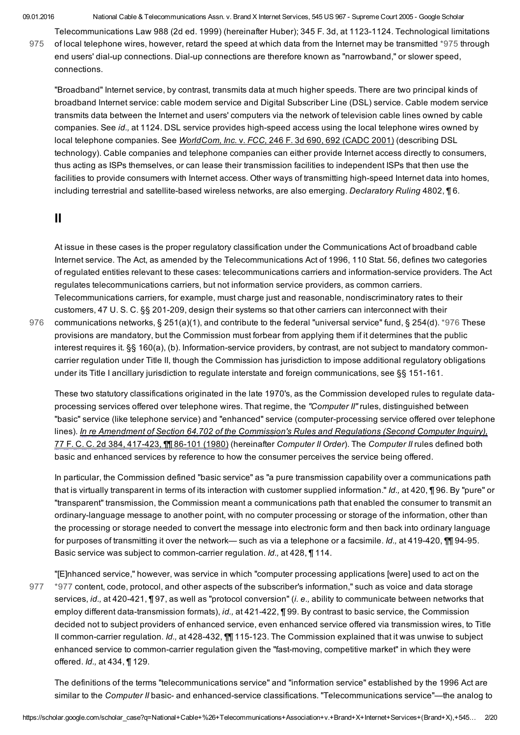Telecommunications Law 988 (2d ed. 1999) (hereinafter Huber); 345 F. 3d, at 1123-1124. Technological limitations

of local telephone wires, however, retard the speed at which data from the Internet may be transmitted [\\*975](#page-1-0) through end users' dial-up connections. Dial-up connections are therefore known as "narrowband," or slower speed, connections. [975](#page-1-0)

"Broadband" Internet service, by contrast, transmits data at much higher speeds. There are two principal kinds of broadband Internet service: cable modem service and Digital Subscriber Line (DSL) service. Cable modem service transmits data between the Internet and users' computers via the network of television cable lines owned by cable companies. See *id.*, at 1124. DSL service provides high-speed access using the local telephone wires owned by local telephone companies. See *[WorldCom,](https://scholar.google.com/scholar_case?case=10234153121918473015&q=National+Cable+%26+Telecommunications+Association+v.+Brand+X+Internet+Services+(Brand+X),+545+U.S.+967,+125+S.Ct.+2688,+162+Lae+Ed.2d+820+(2005)&hl=en&as_sdt=6,33&scilh=0) Inc.* v. *FCC,* 246 F. 3d 690, 692 (CADC 2001) (describing DSL technology). Cable companies and telephone companies can either provide Internet access directly to consumers, thus acting as ISPs themselves, or can lease their transmission facilities to independent ISPs that then use the facilities to provide consumers with Internet access. Other ways of transmitting high-speed Internet data into homes, including terrestrial and satellite-based wireless networks, are also emerging. *Declaratory Ruling* 4802, ¶ 6.

# II

976

At issue in these cases is the proper regulatory classification under the Communications Act of broadband cable Internet service. The Act, as amended by the Telecommunications Act of 1996, 110 Stat. 56, defines two categories of regulated entities relevant to these cases: telecommunications carriers and informationservice providers. The Act regulates telecommunications carriers, but not information service providers, as common carriers. Telecommunications carriers, for example, must charge just and reasonable, nondiscriminatory rates to their customers, 47 U. S. C. §§ 201-209, design their systems so that other carriers can interconnect with their communications networks, § 251(a)(1), and contribute to the federal "universal service" fund, § 254(d). \*976 These provisions are mandatory, but the Commission must forbear from applying them if it determines that the public interest requires it.  $\S$ § 160(a), (b). Information-service providers, by contrast, are not subject to mandatory commoncarrier regulation under Title II, though the Commission has jurisdiction to impose additional regulatory obligations under its Title I ancillary jurisdiction to regulate interstate and foreign communications, see §§ 151-161.

These two statutory classifications originated in the late 1970's, as the Commission developed rules to regulate dataprocessing services offered over telephone wires. That regime, the *"Computer II"* rules, distinguished between "basic" service (like telephone service) and "enhanced" service (computer-processing service offered over telephone lines). *In re Amendment of Section 64.702 of the [Commission's](https://scholar.google.com/scholar_case?about=13246111206385157604&q=National+Cable+%26+Telecommunications+Association+v.+Brand+X+Internet+Services+(Brand+X),+545+U.S.+967,+125+S.Ct.+2688,+162+Lae+Ed.2d+820+(2005)&hl=en&as_sdt=6,33&scilh=0) Rules and Regulations (Second Computer Inquiry),* 77 F. C. C. 2d 384, 417423, ¶¶ 86101 (1980) (hereinafter *Computer II Order*). The *Computer II* rules defined both basic and enhanced services by reference to how the consumer perceives the service being offered.

In particular, the Commission defined "basic service" as "a pure transmission capability over a communications path that is virtually transparent in terms of its interaction with customer supplied information." *Id.,* at 420, ¶ 96. By "pure" or "transparent" transmission, the Commission meant a communications path that enabled the consumer to transmit an ordinarylanguage message to another point, with no computer processing or storage of the information, other than the processing or storage needed to convert the message into electronic form and then back into ordinary language for purposes of transmitting it over the network— such as via a telephone or a facsimile. *Id.*, at 419-420, **[1]** 94-95. Basic service was subject to common-carrier regulation. *Id.*, at 428, ¶ 114.

"[E]nhanced service," however, was service in which "computer processing applications [were] used to act on the \*977 content, code, protocol, and other aspects of the subscriber's information," such as voice and data storage services, *id.,* at 420421, ¶ 97, as well as "protocol conversion" (*i. e.,* ability to communicate between networks that employ different data-transmission formats), *id.*, at 421-422, ¶ 99. By contrast to basic service, the Commission decided not to subject providers of enhanced service, even enhanced service offered via transmission wires, to Title II common-carrier regulation. *Id.*, at 428-432, **[1]** 115-123. The Commission explained that it was unwise to subject enhanced service to common-carrier regulation given the "fast-moving, competitive market" in which they were offered. *Id.,* at 434, ¶ 129. 977

<span id="page-1-0"></span>The definitions of the terms "telecommunications service" and "information service" established by the 1996 Act are similar to the *Computer II* basic- and enhanced-service classifications. "Telecommunications service"—the analog to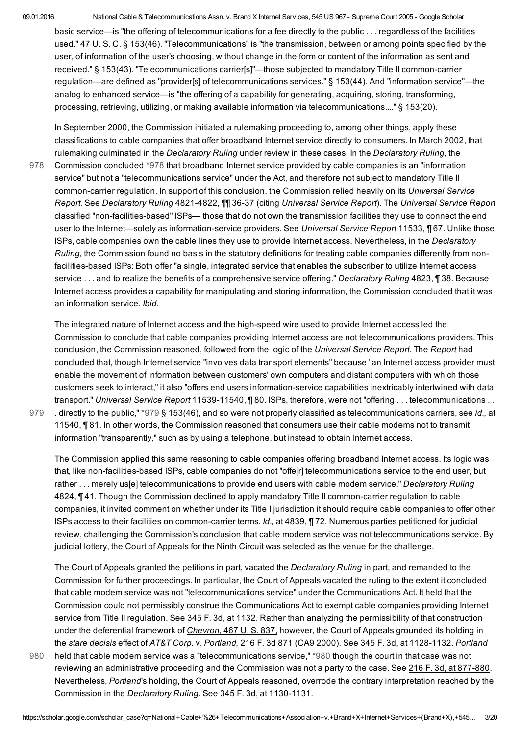979

09.01.2016 National Cable & Telecommunications Assn. v. Brand X Internet Services, 545 US 967 - Supreme Court 2005 - Google Scholar

basic service—is "the offering of telecommunications for a fee directly to the public . . . regardless of the facilities used." 47 U. S. C. § 153(46). "Telecommunications" is "the transmission, between or among points specified by the user, of information of the user's choosing, without change in the form or content of the information as sent and received." § 153(43). "Telecommunications carrier[s]"—those subjected to mandatory Title II common-carrier regulation—are defined as "provider[s] of telecommunications services." § 153(44). And "information service"—the analog to enhanced service—is "the offering of a capability for generating, acquiring, storing, transforming, processing, retrieving, utilizing, or making available information via telecommunications...." § 153(20).

In September 2000, the Commission initiated a rulemaking proceeding to, among other things, apply these classifications to cable companies that offer broadband Internet service directly to consumers. In March 2002, that rulemaking culminated in the *Declaratory Ruling* under review in these cases. In the *Declaratory Ruling,* the

Commission concluded \*978 that broadband Internet service provided by cable companies is an "information service" but not a "telecommunications service" under the Act, and therefore not subject to mandatory Title II common-carrier regulation. In support of this conclusion, the Commission relied heavily on its *Universal Service Report.* See *Declaratory Ruling* 48214822, ¶¶ 3637 (citing *Universal Service Report*). The *Universal Service Report* classified "non-facilities-based" ISPs— those that do not own the transmission facilities they use to connect the end user to the Internet—solely as information-service providers. See *Universal Service Report* 11533, ¶ 67. Unlike those ISPs, cable companies own the cable lines they use to provide Internet access. Nevertheless, in the *Declaratory Ruling,* the Commission found no basis in the statutory definitions for treating cable companies differently from nonfacilities-based ISPs: Both offer "a single, integrated service that enables the subscriber to utilize Internet access service . . . and to realize the benefits of a comprehensive service offering." *Declaratory Ruling* 4823, ¶ 38. Because Internet access provides a capability for manipulating and storing information, the Commission concluded that it was an information service. *Ibid.* 978

The integrated nature of Internet access and the high-speed wire used to provide Internet access led the Commission to conclude that cable companies providing Internet access are not telecommunications providers. This conclusion, the Commission reasoned, followed from the logic of the *Universal Service Report.* The *Report* had concluded that, though Internet service "involves data transport elements" because "an Internet access provider must enable the movement of information between customers' own computers and distant computers with which those customers seek to interact," it also "offers end users information-service capabilities inextricably intertwined with data transport." *Universal Service Report* 11539-11540, ¶ 80. ISPs, therefore, were not "offering . . . telecommunications . . . directly to the public," \*979 § 153(46), and so were not properly classified as telecommunications carriers, see *id.,* at 11540, ¶ 81. In other words, the Commission reasoned that consumers use their cable modems not to transmit information "transparently," such as by using a telephone, but instead to obtain Internet access.

The Commission applied this same reasoning to cable companies offering broadband Internet access. Its logic was that, like non-facilities-based ISPs, cable companies do not "offe[r] telecommunications service to the end user, but rather . . . merely us[e] telecommunications to provide end users with cable modem service." *Declaratory Ruling* 4824, ¶41. Though the Commission declined to apply mandatory Title II common-carrier regulation to cable companies, it invited comment on whether under its Title I jurisdiction it should require cable companies to offer other ISPs access to their facilities on common-carrier terms. *Id.*, at 4839, ¶ 72. Numerous parties petitioned for judicial review, challenging the Commission's conclusion that cable modem service was not telecommunications service. By judicial lottery, the Court of Appeals for the Ninth Circuit was selected as the venue for the challenge.

The Court of Appeals granted the petitions in part, vacated the *Declaratory Ruling* in part, and remanded to the Commission for further proceedings. In particular, the Court of Appeals vacated the ruling to the extent it concluded that cable modem service was not "telecommunications service" under the Communications Act. It held that the Commission could not permissibly construe the Communications Act to exempt cable companies providing Internet service from Title II regulation. See 345 F. 3d, at 1132. Rather than analyzing the permissibility of that construction under the deferential framework of *[Chevron,](https://scholar.google.com/scholar_case?case=14437597860792759765&q=National+Cable+%26+Telecommunications+Association+v.+Brand+X+Internet+Services+(Brand+X),+545+U.S.+967,+125+S.Ct.+2688,+162+Lae+Ed.2d+820+(2005)&hl=en&as_sdt=6,33&scilh=0)* 467 U. S. 837, however, the Court of Appeals grounded its holding in the *stare decisis* effect of *AT&T Corp.* v. *Portland*, 216 F. 3d 871 (CA9 2000). See 345 F. 3d, at 1128-1132. *Portland* 

held that cable modem service was a "telecommunications service," \*980 though the court in that case was not reviewing an administrative proceeding and the Commission was not a party to the case. See 216 F. 3d, at 877-880. Nevertheless, *Portland*'s holding, the Court of Appeals reasoned, overrode the contrary interpretation reached by the Commission in the *Declaratory Ruling*. See 345 F. 3d, at 1130-1131. 980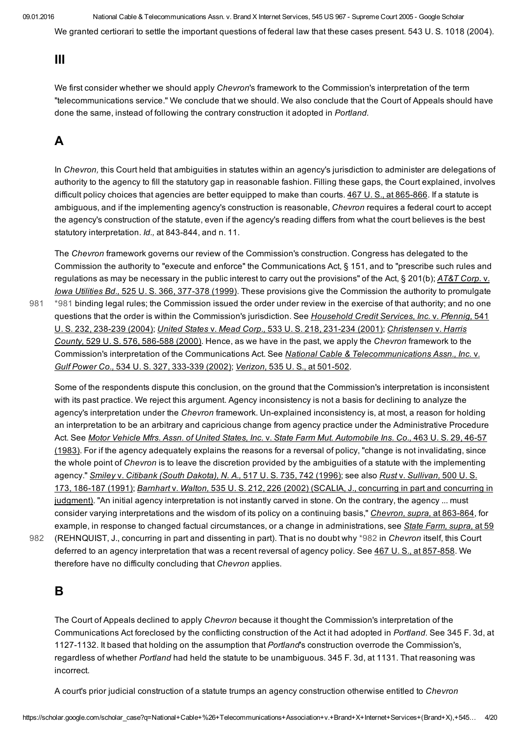We granted certiorari to settle the important questions of federal law that these cases present. 543 U. S. 1018 (2004).

### III

We first consider whether we should apply *Chevron*'s framework to the Commission's interpretation of the term "telecommunications service." We conclude that we should. We also conclude that the Court of Appeals should have done the same, instead of following the contrary construction it adopted in *Portland.*

# A

981

In *Chevron,* this Court held that ambiguities in statutes within an agency's jurisdiction to administer are delegations of authority to the agency to fill the statutory gap in reasonable fashion. Filling these gaps, the Court explained, involves difficult policy choices that agencies are better equipped to make than courts.  $467$  U. S., at 865-866. If a statute is ambiguous, and if the implementing agency's construction is reasonable, *Chevron* requires a federal court to accept the agency's construction of the statute, even if the agency's reading differs from what the court believes is the best statutory interpretation. *Id.*, at 843-844, and n. 11.

The *Chevron* framework governs our review of the Commission's construction. Congress has delegated to the Commission the authority to "execute and enforce" the Communications Act, § 151, and to "prescribe such rules and regulations as may be necessary in the public interest to carry out the provisions" of the Act, § 201(b); *AT&T Corp.* v. *Iowa Utilities Bd.,* 525 U. S. 366, 377378 (1999). These provisions give the [Commission](https://scholar.google.com/scholar_case?case=11163947826570654904&q=National+Cable+%26+Telecommunications+Association+v.+Brand+X+Internet+Services+(Brand+X),+545+U.S.+967,+125+S.Ct.+2688,+162+Lae+Ed.2d+820+(2005)&hl=en&as_sdt=6,33&scilh=0) the authority to promulgate \*981 binding legal rules; the Commission issued the order under review in the exercise of that authority; and no one questions that the order is within the [Commission's](https://scholar.google.com/scholar_case?case=6616956060046722608&q=National+Cable+%26+Telecommunications+Association+v.+Brand+X+Internet+Services+(Brand+X),+545+U.S.+967,+125+S.Ct.+2688,+162+Lae+Ed.2d+820+(2005)&hl=en&as_sdt=6,33&scilh=0) jurisdiction. See *Household Credit Services, Inc.* v. *Pfennig,* 541 U. S. 232, 238239 (2004); *United States* v. *Mead Corp.,* 533 U. S. 218, [231234](https://scholar.google.com/scholar_case?case=6553117666921312576&q=National+Cable+%26+Telecommunications+Association+v.+Brand+X+Internet+Services+(Brand+X),+545+U.S.+967,+125+S.Ct.+2688,+162+Lae+Ed.2d+820+(2005)&hl=en&as_sdt=6,33&scilh=0) (2001); *[Christensen](https://scholar.google.com/scholar_case?case=7186394148855877004&q=National+Cable+%26+Telecommunications+Association+v.+Brand+X+Internet+Services+(Brand+X),+545+U.S.+967,+125+S.Ct.+2688,+162+Lae+Ed.2d+820+(2005)&hl=en&as_sdt=6,33&scilh=0)* v. *Harris County,* 529 U. S. 576, 586588 (2000). Hence, as we have in the past, we apply the *Chevron* framework to the Commission's interpretation of the Communications Act. See *National Cable & [Telecommunications](https://scholar.google.com/scholar_case?case=15795636099969366516&q=National+Cable+%26+Telecommunications+Association+v.+Brand+X+Internet+Services+(Brand+X),+545+U.S.+967,+125+S.Ct.+2688,+162+Lae+Ed.2d+820+(2005)&hl=en&as_sdt=6,33&scilh=0) Assn., Inc.* v. *Gulf Power Co., 534 U. S. 327, 333-339 (2002); Verizon, 535 U. S., at 501-502.* 

Some of the respondents dispute this conclusion, on the ground that the Commission's interpretation is inconsistent with its past practice. We reject this argument. Agency inconsistency is not a basis for declining to analyze the agency's interpretation under the *Chevron* framework. Un-explained inconsistency is, at most, a reason for holding an interpretation to be an arbitrary and capricious change from agency practice under the Administrative Procedure Act. See *Motor Vehicle Mfrs. Assn. of United States, Inc.* v. *State Farm Mut. Automobile Ins. Co.,* 463 U. S. 29, 4657 (1983). For if the agency adequately explains the reasons for a reversal of policy, "change is not [invalidating,](https://scholar.google.com/scholar_case?case=759595841034114890&q=National+Cable+%26+Telecommunications+Association+v.+Brand+X+Internet+Services+(Brand+X),+545+U.S.+967,+125+S.Ct.+2688,+162+Lae+Ed.2d+820+(2005)&hl=en&as_sdt=6,33&scilh=0) since the whole point of *Chevron* is to leave the discretion provided by the ambiguities of a statute with the implementing agency." *Smiley* v. *Citibank (South [Dakota\),](https://scholar.google.com/scholar_case?case=1245431367989775482&q=National+Cable+%26+Telecommunications+Association+v.+Brand+X+Internet+Services+(Brand+X),+545+U.S.+967,+125+S.Ct.+2688,+162+Lae+Ed.2d+820+(2005)&hl=en&as_sdt=6,33&scilh=0) N. A.,* 517 U. S. 735, 742 (1996); see also *Rust* v. *Sullivan,* 500 U. S. 173, 186187 (1991); *Barnhart* v. *Walton,* 535 U. S. 212, 226 (2002) (SCALIA, J., [concurring](https://scholar.google.com/scholar_case?case=17204544980901899735&q=National+Cable+%26+Telecommunications+Association+v.+Brand+X+Internet+Services+(Brand+X),+545+U.S.+967,+125+S.Ct.+2688,+162+Lae+Ed.2d+820+(2005)&hl=en&as_sdt=6,33&scilh=0) in part and concurring in judgment). "An initial agency [interpretation](https://scholar.google.com/scholar_case?case=17981729066831527493&q=National+Cable+%26+Telecommunications+Association+v.+Brand+X+Internet+Services+(Brand+X),+545+U.S.+967,+125+S.Ct.+2688,+162+Lae+Ed.2d+820+(2005)&hl=en&as_sdt=6,33&scilh=0) is not instantly carved in stone. On the contrary, the agency ... must consider varying interpretations and the wisdom of its policy on a continuing basis," *[Chevron,](https://scholar.google.com/scholar_case?case=14437597860792759765&q=National+Cable+%26+Telecommunications+Association+v.+Brand+X+Internet+Services+(Brand+X),+545+U.S.+967,+125+S.Ct.+2688,+162+Lae+Ed.2d+820+(2005)&hl=en&as_sdt=6,33&scilh=0) supra, at 863-864*, for example, in response to changed factual circumstances, or a change in administrations, see *State Farm, [supra,](https://scholar.google.com/scholar_case?case=759595841034114890&q=National+Cable+%26+Telecommunications+Association+v.+Brand+X+Internet+Services+(Brand+X),+545+U.S.+967,+125+S.Ct.+2688,+162+Lae+Ed.2d+820+(2005)&hl=en&as_sdt=6,33&scilh=0)* at 59 (REHNQUIST, J., concurring in part and dissenting in part). That is no doubt why \*982 in *Chevron* itself, this Court deferred to an agency interpretation that was a recent reversal of agency policy. See 467 U. S., at 857-858. We therefore have no difficulty concluding that *Chevron* applies.

# B

982

The Court of Appeals declined to apply *Chevron* because it thought the Commission's interpretation of the Communications Act foreclosed by the conflicting construction of the Act it had adopted in *Portland.* See 345 F. 3d, at 1127-1132. It based that holding on the assumption that *Portland*'s construction overrode the Commission's, regardless of whether *Portland* had held the statute to be unambiguous. 345 F. 3d, at 1131. That reasoning was incorrect.

A court's prior judicial construction of a statute trumps an agency construction otherwise entitled to *Chevron*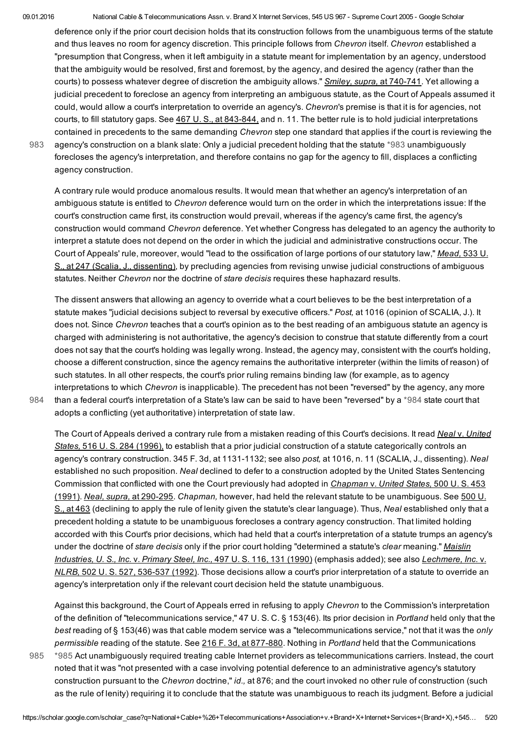deference only if the prior court decision holds that its construction follows from the unambiguous terms of the statute and thus leaves no room for agency discretion. This principle follows from *Chevron* itself. *Chevron* established a "presumption that Congress, when it left ambiguity in a statute meant for implementation by an agency, understood that the ambiguity would be resolved, first and foremost, by the agency, and desired the agency (rather than the courts) to possess whatever degree of discretion the ambiguity allows." *Smiley, supra,* at [740741](https://scholar.google.com/scholar_case?case=1245431367989775482&q=National+Cable+%26+Telecommunications+Association+v.+Brand+X+Internet+Services+(Brand+X),+545+U.S.+967,+125+S.Ct.+2688,+162+Lae+Ed.2d+820+(2005)&hl=en&as_sdt=6,33&scilh=0). Yet allowing a judicial precedent to foreclose an agency from interpreting an ambiguous statute, as the Court of Appeals assumed it could, would allow a court's interpretation to override an agency's. *Chevron*'s premise is that it is for agencies, not courts, to fill statutory gaps. See 467 U. S., at 843-844, and n. 11. The better rule is to hold judicial interpretations contained in precedents to the same demanding *Chevron* step one standard that applies if the court is reviewing the agency's construction on a blank slate: Only a judicial precedent holding that the statute \*983 unambiguously

983

forecloses the agency's interpretation, and therefore contains no gap for the agency to fill, displaces a conflicting agency construction.

A contrary rule would produce anomalous results. It would mean that whether an agency's interpretation of an ambiguous statute is entitled to *Chevron* deference would turn on the order in which the interpretations issue: If the court's construction came first, its construction would prevail, whereas if the agency's came first, the agency's construction would command *Chevron* deference. Yet whether Congress has delegated to an agency the authority to interpret a statute does not depend on the order in which the judicial and administrative constructions occur. The Court of Appeals' rule, moreover, would "lead to the ossification of large portions of our statutory law," *Mead,* 533 U. S., at 247 (Scalia, J., dissenting), by precluding agencies from revising unwise judicial [constructions](https://scholar.google.com/scholar_case?case=6553117666921312576&q=National+Cable+%26+Telecommunications+Association+v.+Brand+X+Internet+Services+(Brand+X),+545+U.S.+967,+125+S.Ct.+2688,+162+Lae+Ed.2d+820+(2005)&hl=en&as_sdt=6,33&scilh=0) of ambiguous statutes. Neither *Chevron* nor the doctrine of *stare decisis* requires these haphazard results.

The dissent answers that allowing an agency to override what a court believes to be the best interpretation of a statute makes "judicial decisions subject to reversal by executive officers." *Post,* at 1016 (opinion of SCALIA, J.). It does not. Since *Chevron* teaches that a court's opinion as to the best reading of an ambiguous statute an agency is charged with administering is not authoritative, the agency's decision to construe that statute differently from a court does not say that the court's holding was legally wrong. Instead, the agency may, consistent with the court's holding, choose a different construction, since the agency remains the authoritative interpreter (within the limits of reason) of such statutes. In all other respects, the court's prior ruling remains binding law (for example, as to agency interpretations to which *Chevron* is inapplicable). The precedent has not been "reversed" by the agency, any more than a federal court's interpretation of a State's law can be said to have been "reversed" by a \*984 state court that adopts a conflicting (yet authoritative) interpretation of state law.

984

The Court of Appeals derived a contrary rule from a mistaken reading of this Court's decisions. It read *Neal* v. *United States,* 516 U. S. 284 (1996), to establish that a prior judicial construction of a statute [categorically](https://scholar.google.com/scholar_case?case=8436673715475999169&q=National+Cable+%26+Telecommunications+Association+v.+Brand+X+Internet+Services+(Brand+X),+545+U.S.+967,+125+S.Ct.+2688,+162+Lae+Ed.2d+820+(2005)&hl=en&as_sdt=6,33&scilh=0) controls an agency's contrary construction. 345 F. 3d, at 1131-1132; see also post, at 1016, n. 11 (SCALIA, J., dissenting). Neal established no such proposition. *Neal* declined to defer to a construction adopted by the United States Sentencing Commission that conflicted with one the Court previously had adopted in *Chapman* v. *United States,* 500 U. S. 453 (1991). *Neal, supra,* at [290295.](https://scholar.google.com/scholar_case?case=8436673715475999169&q=National+Cable+%26+Telecommunications+Association+v.+Brand+X+Internet+Services+(Brand+X),+545+U.S.+967,+125+S.Ct.+2688,+162+Lae+Ed.2d+820+(2005)&hl=en&as_sdt=6,33&scilh=0) *Chapman,* however, had held the relevant statute to be [unambiguous.](https://scholar.google.com/scholar_case?case=7690112202814073050&q=National+Cable+%26+Telecommunications+Association+v.+Brand+X+Internet+Services+(Brand+X),+545+U.S.+967,+125+S.Ct.+2688,+162+Lae+Ed.2d+820+(2005)&hl=en&as_sdt=6,33&scilh=0) See 500 U. S., at 463 (declining to apply the rule of lenity given the statute's clear language). Thus, *Neal* established only that a precedent holding a statute to be unambiguous forecloses a contrary agency construction. That limited holding accorded with this Court's prior decisions, which had held that a court's interpretation of a statute trumps an agency's under the doctrine of *stare decisis* only if the prior court holding ["determined](https://scholar.google.com/scholar_case?case=17011768680440697570&q=National+Cable+%26+Telecommunications+Association+v.+Brand+X+Internet+Services+(Brand+X),+545+U.S.+967,+125+S.Ct.+2688,+162+Lae+Ed.2d+820+(2005)&hl=en&as_sdt=6,33&scilh=0) a statute's *clear* meaning." *Maislin Industries, U. S., Inc.* v. *Primary Steel, Inc.,* 497 U. S. 116, 131 (1990) (emphasis added); see also *Lechmere, Inc.* v. *NLRB*, 502 U. S. 527, 536-537 (1992). Those decisions allow a court's prior [interpretation](https://scholar.google.com/scholar_case?case=6996155669119993724&q=National+Cable+%26+Telecommunications+Association+v.+Brand+X+Internet+Services+(Brand+X),+545+U.S.+967,+125+S.Ct.+2688,+162+Lae+Ed.2d+820+(2005)&hl=en&as_sdt=6,33&scilh=0) of a statute to override an agency's interpretation only if the relevant court decision held the statute unambiguous.

Against this background, the Court of Appeals erred in refusing to apply *Chevron* to the Commission's interpretation of the definition of "telecommunications service," 47 U. S. C. § 153(46). Its prior decision in *Portland* held only that the *best* reading of § 153(46) was that cable modem service was a "telecommunications service," not that it was the *only permissible* reading of the statute. See 216 F. 3d, at 877-880. Nothing in *Portland* held that the Communications

\*985 Act unambiguously required treating cable Internet providers as telecommunications carriers. Instead, the court noted that it was "not presented with a case involving potential deference to an administrative agency's statutory construction pursuant to the *Chevron* doctrine," *id.,* at 876; and the court invoked no other rule of construction (such as the rule of lenity) requiring it to conclude that the statute was unambiguous to reach its judgment. Before a judicial 985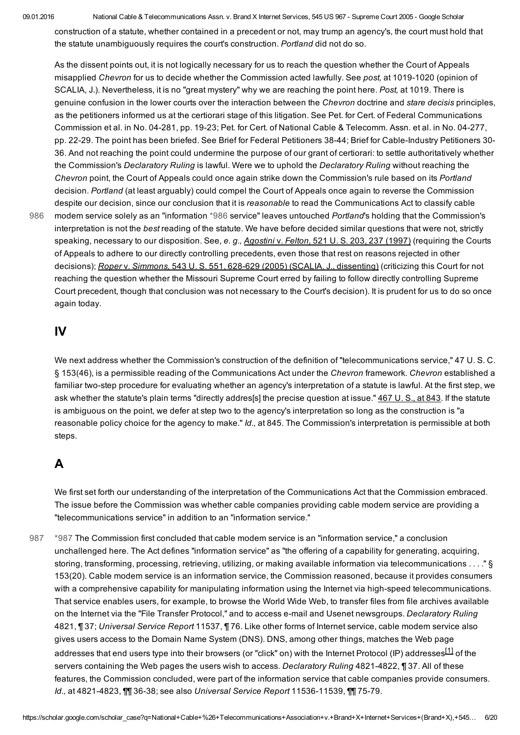construction of a statute, whether contained in a precedent or not, may trump an agency's, the court must hold that the statute unambiguously requires the court's construction. *Portland* did not do so.

As the dissent points out, it is not logically necessary for us to reach the question whether the Court of Appeals misapplied *Chevron* for us to decide whether the Commission acted lawfully. See *post*, at 1019-1020 (opinion of SCALIA, J.). Nevertheless, it is no "great mystery" why we are reaching the point here. *Post,* at 1019. There is genuine confusion in the lower courts over the interaction between the *Chevron* doctrine and *stare decisis* principles, as the petitioners informed us at the certiorari stage of this litigation. See Pet. for Cert. of Federal Communications Commission et al. in No. 04-281, pp. 19-23; Pet. for Cert. of National Cable & Telecomm. Assn. et al. in No. 04-277, pp. 22-29. The point has been briefed. See Brief for Federal Petitioners 38-44; Brief for Cable-Industry Petitioners 30-36. And not reaching the point could undermine the purpose of our grant of certiorari: to settle authoritatively whether the Commission's *Declaratory Ruling* is lawful. Were we to uphold the *Declaratory Ruling* without reaching the *Chevron* point, the Court of Appeals could once again strike down the Commission's rule based on its *Portland* decision. *Portland* (at least arguably) could compel the Court of Appeals once again to reverse the Commission despite our decision, since our conclusion that it is *reasonable* to read the Communications Act to classify cable

986

modem service solely as an "information \*986 service" leaves untouched *Portland*'s holding that the Commission's interpretation is not the *best* reading of the statute. We have before decided similar questions that were not, strictly speaking, necessary to our disposition. See, *e. g., [Agostini](https://scholar.google.com/scholar_case?case=6468982625941805364&q=National+Cable+%26+Telecommunications+Association+v.+Brand+X+Internet+Services+(Brand+X),+545+U.S.+967,+125+S.Ct.+2688,+162+Lae+Ed.2d+820+(2005)&hl=en&as_sdt=6,33&scilh=0)* v. *Felton,* 521 U. S. 203, 237 (1997) (requiring the Courts of Appeals to adhere to our directly controlling precedents, even those that rest on reasons rejected in other decisions); *Roper v. Simmons*, 543 U. S. 551, 628-629 (2005) (SCALIA, J., [dissenting\)](https://scholar.google.com/scholar_case?case=16987406842050815187&q=National+Cable+%26+Telecommunications+Association+v.+Brand+X+Internet+Services+(Brand+X),+545+U.S.+967,+125+S.Ct.+2688,+162+Lae+Ed.2d+820+(2005)&hl=en&as_sdt=6,33&scilh=0) (criticizing this Court for not reaching the question whether the Missouri Supreme Court erred by failing to follow directly controlling Supreme Court precedent, though that conclusion was not necessary to the Court's decision). It is prudent for us to do so once again today.

# IV

We next address whether the Commission's construction of the definition of "telecommunications service," 47 U. S. C. § 153(46), is a permissible reading of the Communications Act under the *Chevron* framework. *Chevron* established a familiar two-step procedure for evaluating whether an agency's interpretation of a statute is lawful. At the first step, we ask whether the statute's plain terms "directly addres[s] the precise question at issue."  $467$  U. S., at [843.](https://scholar.google.com/scholar_case?case=14437597860792759765&q=National+Cable+%26+Telecommunications+Association+v.+Brand+X+Internet+Services+(Brand+X),+545+U.S.+967,+125+S.Ct.+2688,+162+Lae+Ed.2d+820+(2005)&hl=en&as_sdt=6,33&scilh=0) If the statute is ambiguous on the point, we defer at step two to the agency's interpretation so long as the construction is "a reasonable policy choice for the agency to make." *Id.,* at 845. The Commission's interpretation is permissible at both steps.

# A

We first set forth our understanding of the interpretation of the Communications Act that the Commission embraced. The issue before the Commission was whether cable companies providing cable modem service are providing a "telecommunications service" in addition to an "information service."

\*987 The Commission first concluded that cable modem service is an "information service," a conclusion unchallenged here. The Act defines "information service" as "the offering of a capability for generating, acquiring, storing, transforming, processing, retrieving, utilizing, or making available information via telecommunications . . . ." § 153(20). Cable modem service is an information service, the Commission reasoned, because it provides consumers with a comprehensive capability for manipulating information using the Internet via high-speed telecommunications. That service enables users, for example, to browse the World Wide Web, to transfer files from file archives available on the Internet via the "File Transfer Protocol," and to access e-mail and Usenet newsgroups. *Declaratory Ruling* 4821, ¶ 37; *Universal Service Report* 11537, ¶ 76. Like other forms of Internet service, cable modem service also gives users access to the Domain Name System (DNS). DNS, among other things, matches the Web page addresses that end users type into their browsers (or "click" on) with the Internet Protocol (IP) addresses<sup>[1]</sup> of the servers containing the Web pages the users wish to access. *Declaratory Ruling* 4821-4822, ¶ 37. All of these features, the Commission concluded, were part of the information service that cable companies provide consumers. *Id.,* at 4821-4823,  $\P\P$  36-38; see also *Universal Service Report* 11536-11539,  $\P\P$  75-79. 987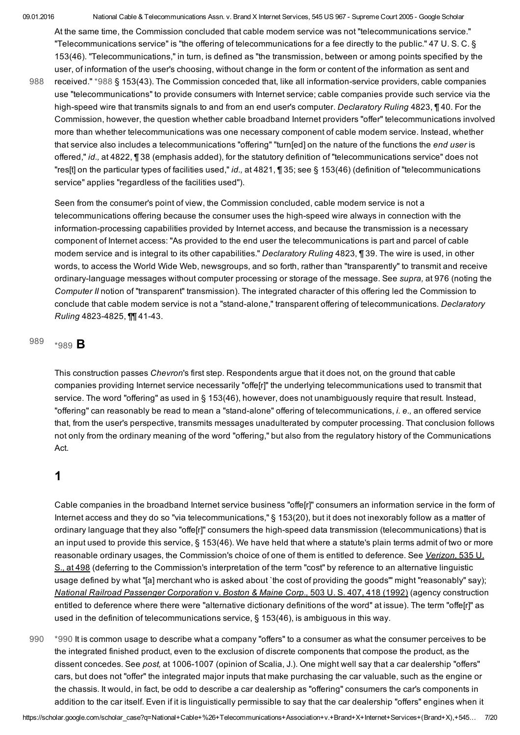At the same time, the Commission concluded that cable modem service was not "telecommunications service." "Telecommunications service" is "the offering of telecommunications for a fee directly to the public." 47 U. S. C. § 153(46). "Telecommunications," in turn, is defined as "the transmission, between or among points specified by the user, of information of the user's choosing, without change in the form or content of the information as sent and

received." \*988 § 153(43). The Commission conceded that, like all information-service providers, cable companies use "telecommunications" to provide consumers with Internet service; cable companies provide such service via the high-speed wire that transmits signals to and from an end user's computer. *Declaratory Ruling* 4823, ¶ 40. For the Commission, however, the question whether cable broadband Internet providers "offer" telecommunications involved more than whether telecommunications was one necessary component of cable modem service. Instead, whether that service also includes a telecommunications "offering" "turn[ed] on the nature of the functions the *end user* is offered," *id.,* at 4822, ¶ 38 (emphasis added), for the statutory definition of "telecommunications service" does not "res[t] on the particular types of facilities used," *id.,* at 4821, ¶ 35; see § 153(46) (definition of "telecommunications service" applies "regardless of the facilities used"). 988

Seen from the consumer's point of view, the Commission concluded, cable modem service is not a telecommunications offering because the consumer uses the high-speed wire always in connection with the information-processing capabilities provided by Internet access, and because the transmission is a necessary component of Internet access: "As provided to the end user the telecommunications is part and parcel of cable modem service and is integral to its other capabilities." *Declaratory Ruling* 4823, ¶ 39. The wire is used, in other words, to access the World Wide Web, newsgroups, and so forth, rather than "transparently" to transmit and receive ordinarylanguage messages without computer processing or storage of the message. See *supra,* at 976 (noting the *Computer II* notion of "transparent" transmission). The integrated character of this offering led the Commission to conclude that cable modem service is not a "stand-alone," transparent offering of telecommunications. *Declaratory Ruling* 4823-4825, **¶1** 41-43.

### 989 \*989 B

This construction passes *Chevron*'s first step. Respondents argue that it does not, on the ground that cable companies providing Internet service necessarily "offe[r]" the underlying telecommunications used to transmit that service. The word "offering" as used in § 153(46), however, does not unambiguously require that result. Instead, "offering" can reasonably be read to mean a "stand-alone" offering of telecommunications, *i. e.*, an offered service that, from the user's perspective, transmits messages unadulterated by computer processing. That conclusion follows not only from the ordinary meaning of the word "offering," but also from the regulatory history of the Communications Act.

# 1

Cable companies in the broadband Internet service business "offe[r]" consumers an information service in the form of Internet access and they do so "via telecommunications," § 153(20), but it does not inexorably follow as a matter of ordinary language that they also "offe[r]" consumers the high-speed data transmission (telecommunications) that is an input used to provide this service, § 153(46). We have held that where a statute's plain terms admit of two or more reasonable ordinary usages, the Commission's choice of one of them is entitled to deference. See *Verizon,* 535 U. S., at 498 (deferring to the [Commission's](https://scholar.google.com/scholar_case?case=3021588905145011434&q=National+Cable+%26+Telecommunications+Association+v.+Brand+X+Internet+Services+(Brand+X),+545+U.S.+967,+125+S.Ct.+2688,+162+Lae+Ed.2d+820+(2005)&hl=en&as_sdt=6,33&scilh=0) interpretation of the term "cost" by reference to an alternative linguistic usage defined by what "[a] merchant who is asked about `the cost of providing the goods'" might "reasonably" say); *National Railroad Passenger [Corporation](https://scholar.google.com/scholar_case?case=18043726446877039289&q=National+Cable+%26+Telecommunications+Association+v.+Brand+X+Internet+Services+(Brand+X),+545+U.S.+967,+125+S.Ct.+2688,+162+Lae+Ed.2d+820+(2005)&hl=en&as_sdt=6,33&scilh=0)* v. *Boston & Maine Corp.,* 503 U. S. 407, 418 (1992) (agency construction entitled to deference where there were "alternative dictionary definitions of the word" at issue). The term "offe[r]" as used in the definition of telecommunications service, § 153(46), is ambiguous in this way.

\*990 It is common usage to describe what a company "offers" to a consumer as what the consumer perceives to be the integrated finished product, even to the exclusion of discrete components that compose the product, as the dissent concedes. See *post*, at 1006-1007 (opinion of Scalia, J.). One might well say that a car dealership "offers" cars, but does not "offer" the integrated major inputs that make purchasing the car valuable, such as the engine or the chassis. It would, in fact, be odd to describe a car dealership as "offering" consumers the car's components in addition to the car itself. Even if it is linguistically permissible to say that the car dealership "offers" engines when it 990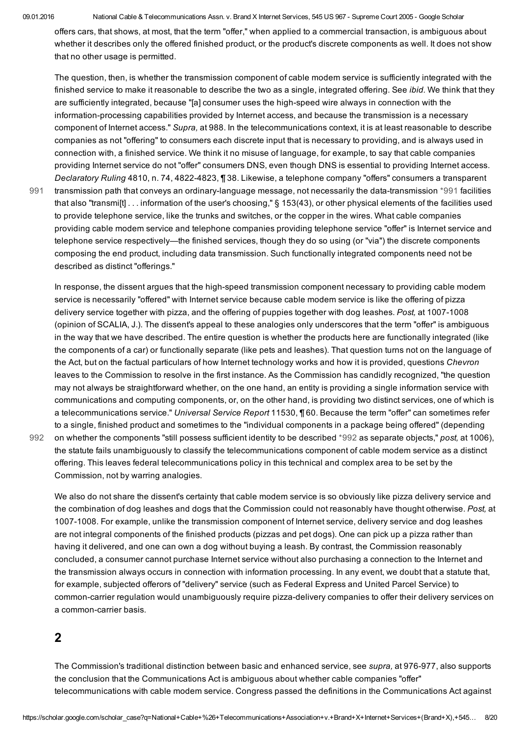offers cars, that shows, at most, that the term "offer," when applied to a commercial transaction, is ambiguous about whether it describes only the offered finished product, or the product's discrete components as well. It does not show that no other usage is permitted.

The question, then, is whether the transmission component of cable modem service is sufficiently integrated with the finished service to make it reasonable to describe the two as a single, integrated offering. See *ibid.* We think that they are sufficiently integrated, because "[a] consumer uses the high-speed wire always in connection with the information-processing capabilities provided by Internet access, and because the transmission is a necessary component of Internet access." *Supra,* at 988. In the telecommunications context, it is at least reasonable to describe companies as not "offering" to consumers each discrete input that is necessary to providing, and is always used in connection with, a finished service. We think it no misuse of language, for example, to say that cable companies providing Internet service do not "offer" consumers DNS, even though DNS is essential to providing Internet access. *Declaratory Ruling* 4810, n. 74, 48224823, ¶ 38. Likewise, a telephone company "offers" consumers a transparent transmission path that conveys an ordinary-language message, not necessarily the data-transmission \*991 facilities that also "transmi[t] . . . information of the user's choosing," § 153(43), or other physical elements of the facilities used to provide telephone service, like the trunks and switches, or the copper in the wires. What cable companies providing cable modem service and telephone companies providing telephone service "offer" is Internet service and telephone service respectively—the finished services, though they do so using (or "via") the discrete components composing the end product, including data transmission. Such functionally integrated components need not be described as distinct "offerings."

991

In response, the dissent argues that the high-speed transmission component necessary to providing cable modem service is necessarily "offered" with Internet service because cable modem service is like the offering of pizza delivery service together with pizza, and the offering of puppies together with dog leashes. Post, at 1007-1008 (opinion of SCALIA, J.). The dissent's appeal to these analogies only underscores that the term "offer" is ambiguous in the way that we have described. The entire question is whether the products here are functionally integrated (like the components of a car) or functionally separate (like pets and leashes). That question turns not on the language of the Act, but on the factual particulars of how Internet technology works and how it is provided, questions *Chevron* leaves to the Commission to resolve in the first instance. As the Commission has candidly recognized, "the question may not always be straightforward whether, on the one hand, an entity is providing a single information service with communications and computing components, or, on the other hand, is providing two distinct services, one of which is a telecommunications service." *Universal Service Report* 11530, ¶ 60. Because the term "offer" can sometimes refer to a single, finished product and sometimes to the "individual components in a package being offered" (depending on whether the components "still possess sufficient identity to be described \*992 as separate objects," *post,* at 1006), the statute fails unambiguously to classify the telecommunications component of cable modem service as a distinct offering. This leaves federal telecommunications policy in this technical and complex area to be set by the Commission, not by warring analogies.

992

We also do not share the dissent's certainty that cable modem service is so obviously like pizza delivery service and the combination of dog leashes and dogs that the Commission could not reasonably have thought otherwise. *Post,* at 1007-1008. For example, unlike the transmission component of Internet service, delivery service and dog leashes are not integral components of the finished products (pizzas and pet dogs). One can pick up a pizza rather than having it delivered, and one can own a dog without buying a leash. By contrast, the Commission reasonably concluded, a consumer cannot purchase Internet service without also purchasing a connection to the Internet and the transmission always occurs in connection with information processing. In any event, we doubt that a statute that, for example, subjected offerors of "delivery" service (such as Federal Express and United Parcel Service) to common-carrier regulation would unambiguously require pizza-delivery companies to offer their delivery services on a common-carrier basis.

# 2

The Commission's traditional distinction between basic and enhanced service, see *supra*, at 976-977, also supports the conclusion that the Communications Act is ambiguous about whether cable companies "offer" telecommunications with cable modem service. Congress passed the definitions in the Communications Act against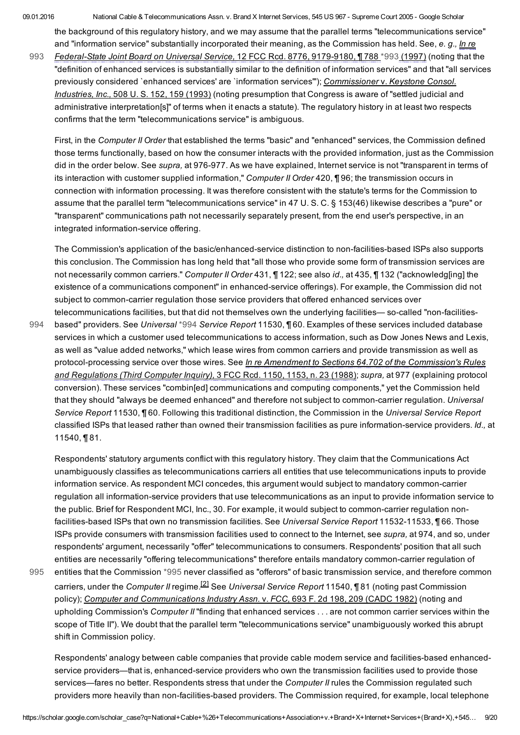the background of this regulatory history, and we may assume that the parallel terms "telecommunications service" and "information service" substantially incorporated their meaning, as the Commission has held. See, *e. g., In re*

*[FederalState](https://scholar.google.com/scholar_case?about=12214323663048425622&q=National+Cable+%26+Telecommunications+Association+v.+Brand+X+Internet+Services+(Brand+X),+545+U.S.+967,+125+S.Ct.+2688,+162+Lae+Ed.2d+820+(2005)&hl=en&as_sdt=6,33&scilh=0) Joint Board on Universal Service,* 12 FCC Rcd. 8776, 91799180, ¶ 788 \*993 [\(1997\)](https://scholar.google.com/scholar_case?about=12214323663048425622&q=National+Cable+%26+Telecommunications+Association+v.+Brand+X+Internet+Services+(Brand+X),+545+U.S.+967,+125+S.Ct.+2688,+162+Lae+Ed.2d+820+(2005)&hl=en&as_sdt=6,33&scilh=0) (noting that the "definition of enhanced services is substantially similar to the definition of information services" and that "all services previously considered `enhanced services' are `information services'"); *[Commissioner](https://scholar.google.com/scholar_case?case=9025827579780058390&q=National+Cable+%26+Telecommunications+Association+v.+Brand+X+Internet+Services+(Brand+X),+545+U.S.+967,+125+S.Ct.+2688,+162+Lae+Ed.2d+820+(2005)&hl=en&as_sdt=6,33&scilh=0)* v. *Keystone Consol. Industries, Inc.,* 508 U. S. 152, 159 (1993) (noting presumption that Congress is aware of "settled judicial and administrative interpretation[s]" of terms when it enacts a statute). The regulatory history in at least two respects confirms that the term "telecommunications service" is ambiguous. 993

First, in the *Computer II Order* that established the terms "basic" and "enhanced" services, the Commission defined those terms functionally, based on how the consumer interacts with the provided information, just as the Commission did in the order below. See *supra*, at 976-977. As we have explained, Internet service is not "transparent in terms of its interaction with customer supplied information," *Computer II Order* 420, ¶ 96; the transmission occurs in connection with information processing. It was therefore consistent with the statute's terms for the Commission to assume that the parallel term "telecommunications service" in 47 U. S. C. § 153(46) likewise describes a "pure" or "transparent" communications path not necessarily separately present, from the end user's perspective, in an integrated information-service offering.

The Commission's application of the basic/enhanced-service distinction to non-facilities-based ISPs also supports this conclusion. The Commission has long held that "all those who provide some form of transmission services are not necessarily common carriers." *Computer II Order* 431, ¶ 122; see also *id.,* at 435, ¶ 132 ("acknowledg[ing] the existence of a communications component" in enhanced-service offerings). For example, the Commission did not subject to common-carrier regulation those service providers that offered enhanced services over telecommunications facilities, but that did not themselves own the underlying facilities— so-called "non-facilities-

994

based" providers. See *Universal* \*994 *Service Report* 11530, ¶ 60. Examples of these services included database services in which a customer used telecommunications to access information, such as Dow Jones News and Lexis, as well as "value added networks," which lease wires from common carriers and provide transmission as well as [protocolprocessing](https://scholar.google.com/scholar_case?about=9987667528091318215&q=National+Cable+%26+Telecommunications+Association+v.+Brand+X+Internet+Services+(Brand+X),+545+U.S.+967,+125+S.Ct.+2688,+162+Lae+Ed.2d+820+(2005)&hl=en&as_sdt=6,33&scilh=0) service over those wires. See *In re Amendment to Sections 64.702 of the Commission's Rules and Regulations (Third Computer Inquiry),* 3 FCC Rcd. 1150, 1153, n. 23 (1988); *supra,* at 977 (explaining protocol conversion). These services "combin[ed] communications and computing components," yet the Commission held that they should "always be deemed enhanced" and therefore not subject to commoncarrier regulation. *Universal Service Report* 11530, ¶ 60. Following this traditional distinction, the Commission in the *Universal Service Report* classified ISPs that leased rather than owned their transmission facilities as pure information-service providers. *Id.*, at 11540, ¶ 81.

Respondents' statutory arguments conflict with this regulatory history. They claim that the Communications Act unambiguously classifies as telecommunications carriers all entities that use telecommunications inputs to provide information service. As respondent MCI concedes, this argument would subject to mandatory common-carrier regulation all information-service providers that use telecommunications as an input to provide information service to the public. Brief for Respondent MCI, Inc., 30. For example, it would subject to common-carrier regulation nonfacilities-based ISPs that own no transmission facilities. See *Universal Service Report* 11532-11533, ¶ 66. Those ISPs provide consumers with transmission facilities used to connect to the Internet, see *supra,* at 974, and so, under respondents' argument, necessarily "offer" telecommunications to consumers. Respondents' position that all such entities are necessarily "offering telecommunications" therefore entails mandatory common-carrier regulation of

entities that the Commission \*995 never classified as "offerors" of basic transmission service, and therefore common carriers, under the *Computer II* regime. [2] See *Universal Service Report* 11540, ¶ 81 (noting past Commission policy); *Computer and [Communications](https://scholar.google.com/scholar_case?case=15175303535321525893&q=National+Cable+%26+Telecommunications+Association+v.+Brand+X+Internet+Services+(Brand+X),+545+U.S.+967,+125+S.Ct.+2688,+162+Lae+Ed.2d+820+(2005)&hl=en&as_sdt=6,33&scilh=0) Industry Assn.* v. *FCC,* 693 F. 2d 198, 209 (CADC 1982) (noting and upholding Commission's *Computer II* "finding that enhanced services . . . are not common carrier services within the scope of Title II"). We doubt that the parallel term "telecommunications service" unambiguously worked this abrupt shift in Commission policy. 995

Respondents' analogy between cable companies that provide cable modem service and facilities-based enhancedservice providers—that is, enhanced-service providers who own the transmission facilities used to provide those services—fares no better. Respondents stress that under the *Computer II* rules the Commission regulated such providers more heavily than non-facilities-based providers. The Commission required, for example, local telephone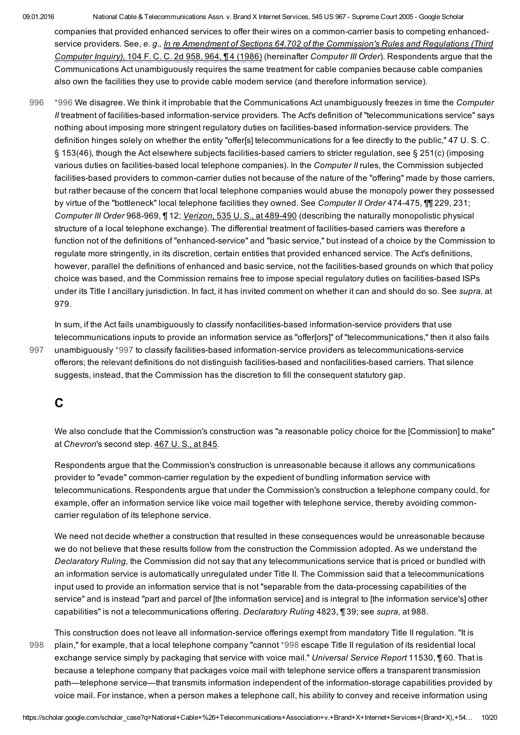companies that provided enhanced services to offer their wires on a common-carrier basis to competing enhancedservice providers. See, *e. g., In re Amendment of Sections 64.702 of the [Commission's](https://scholar.google.com/scholar_case?about=13734305170759402877&q=National+Cable+%26+Telecommunications+Association+v.+Brand+X+Internet+Services+(Brand+X),+545+U.S.+967,+125+S.Ct.+2688,+162+Lae+Ed.2d+820+(2005)&hl=en&as_sdt=6,33&scilh=0) Rules and Regulations (Third Computer Inquiry),* 104 F. C. C. 2d 958, 964, ¶ 4 (1986) (hereinafter *Computer III Order*). Respondents argue that the Communications Act unambiguously requires the same treatment for cable companies because cable companies also own the facilities they use to provide cable modem service (and therefore information service).

\*996 We disagree. We think it improbable that the Communications Act unambiguously freezes in time the *Computer II* treatment of facilities-based information-service providers. The Act's definition of "telecommunications service" says nothing about imposing more stringent regulatory duties on facilities-based information-service providers. The definition hinges solely on whether the entity "offer[s] telecommunications for a fee directly to the public," 47 U.S.C. § 153(46), though the Act elsewhere subjects facilities-based carriers to stricter regulation, see § 251(c) (imposing various duties on facilitiesbased local telephone companies). In the *Computer II* rules, the Commission subjected facilities-based providers to common-carrier duties not because of the nature of the "offering" made by those carriers, but rather because of the concern that local telephone companies would abuse the monopoly power they possessed by virtue of the "bottleneck" local telephone facilities they owned. See *Computer II Order* 474475, ¶¶ 229, 231; *Computer III Order* 968-969, ¶ 12; *Verizon,* 535 U. S., at 489-490 (describing the naturally monopolistic physical structure of a local telephone exchange). The differential treatment of facilities-based carriers was therefore a function not of the definitions of "enhanced-service" and "basic service," but instead of a choice by the Commission to regulate more stringently, in its discretion, certain entities that provided enhanced service. The Act's definitions, however, parallel the definitions of enhanced and basic service, not the facilities-based grounds on which that policy choice was based, and the Commission remains free to impose special regulatory duties on facilities-based ISPs under its Title I ancillary jurisdiction. In fact, it has invited comment on whether it can and should do so. See *supra,* at 979. 996

997

In sum, if the Act fails unambiguously to classify nonfacilities-based information-service providers that use telecommunications inputs to provide an information service as "offer[ors]" of "telecommunications," then it also fails unambiguously \*997 to classify facilities-based information-service providers as telecommunications-service offerors; the relevant definitions do not distinguish facilities-based and nonfacilities-based carriers. That silence suggests, instead, that the Commission has the discretion to fill the consequent statutory gap.

# C

We also conclude that the Commission's construction was "a reasonable policy choice for the [Commission] to make" at *Chevron*'s second step. 467 U. S., at [845](https://scholar.google.com/scholar_case?case=14437597860792759765&q=National+Cable+%26+Telecommunications+Association+v.+Brand+X+Internet+Services+(Brand+X),+545+U.S.+967,+125+S.Ct.+2688,+162+Lae+Ed.2d+820+(2005)&hl=en&as_sdt=6,33&scilh=0).

Respondents argue that the Commission's construction is unreasonable because it allows any communications provider to "evade" common-carrier regulation by the expedient of bundling information service with telecommunications. Respondents argue that under the Commission's construction a telephone company could, for example, offer an information service like voice mail together with telephone service, thereby avoiding commoncarrier regulation of its telephone service.

We need not decide whether a construction that resulted in these consequences would be unreasonable because we do not believe that these results follow from the construction the Commission adopted. As we understand the *Declaratory Ruling,* the Commission did not say that any telecommunications service that is priced or bundled with an information service is automatically unregulated under Title II. The Commission said that a telecommunications input used to provide an information service that is not "separable from the data-processing capabilities of the service" and is instead "part and parcel of [the information service] and is integral to [the information service's] other capabilities" is not a telecommunications offering. *Declaratory Ruling* 4823, ¶ 39; see *supra,* at 988.

This construction does not leave all information-service offerings exempt from mandatory Title II regulation. "It is plain," for example, that a local telephone company "cannot \*998 escape Title II regulation of its residential local exchange service simply by packaging that service with voice mail." *Universal Service Report* 11530, ¶ 60. That is because a telephone company that packages voice mail with telephone service offers a transparent transmission path—telephone service—that transmits information independent of the information-storage capabilities provided by voice mail. For instance, when a person makes a telephone call, his ability to convey and receive information using 998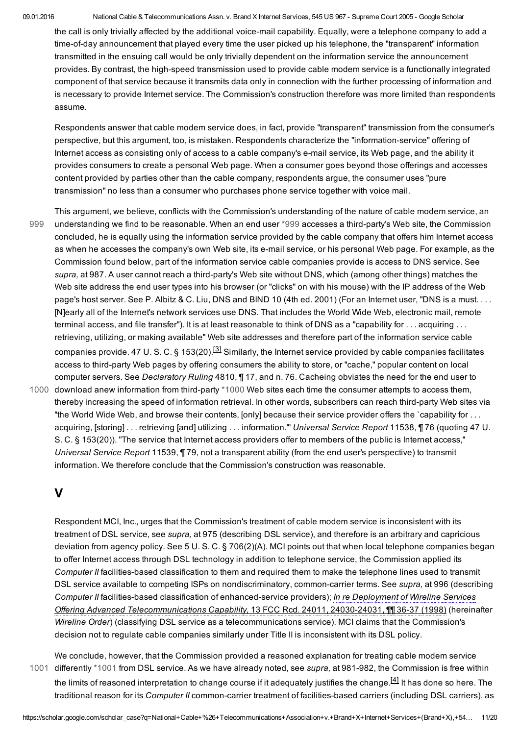the call is only trivially affected by the additional voice-mail capability. Equally, were a telephone company to add a time-of-day announcement that played every time the user picked up his telephone, the "transparent" information transmitted in the ensuing call would be only trivially dependent on the information service the announcement provides. By contrast, the high-speed transmission used to provide cable modem service is a functionally integrated component of that service because it transmits data only in connection with the further processing of information and is necessary to provide Internet service. The Commission's construction therefore was more limited than respondents assume.

Respondents answer that cable modem service does, in fact, provide "transparent" transmission from the consumer's perspective, but this argument, too, is mistaken. Respondents characterize the "information-service" offering of Internet access as consisting only of access to a cable company's e-mail service, its Web page, and the ability it provides consumers to create a personal Web page. When a consumer goes beyond those offerings and accesses content provided by parties other than the cable company, respondents argue, the consumer uses "pure transmission" no less than a consumer who purchases phone service together with voice mail.

999

This argument, we believe, conflicts with the Commission's understanding of the nature of cable modem service, an understanding we find to be reasonable. When an end user \*999 accesses a third-party's Web site, the Commission concluded, he is equally using the information service provided by the cable company that offers him Internet access as when he accesses the company's own Web site, its e-mail service, or his personal Web page. For example, as the Commission found below, part of the information service cable companies provide is access to DNS service. See supra, at 987. A user cannot reach a third-party's Web site without DNS, which (among other things) matches the Web site address the end user types into his browser (or "clicks" on with his mouse) with the IP address of the Web page's host server. See P. Albitz & C. Liu, DNS and BIND 10 (4th ed. 2001) (For an Internet user, "DNS is a must. . . . [N]early all of the Internet's network services use DNS. That includes the World Wide Web, electronic mail, remote terminal access, and file transfer"). It is at least reasonable to think of DNS as a "capability for . . . acquiring . . . retrieving, utilizing, or making available" Web site addresses and therefore part of the information service cable companies provide. 47 U. S. C. § 153(20).<sup>[3]</sup> Similarly, the Internet service provided by cable companies facilitates access to third-party Web pages by offering consumers the ability to store, or "cache," popular content on local computer servers. See *Declaratory Ruling* 4810, ¶ 17, and n. 76. Cacheing obviates the need for the end user to

1000 download anew information from third-party \*1000 Web sites each time the consumer attempts to access them, thereby increasing the speed of information retrieval. In other words, subscribers can reach third-party Web sites via "the World Wide Web, and browse their contents, [only] because their service provider offers the `capability for . . . acquiring, [storing] . . . retrieving [and] utilizing . . . information.'" *Universal Service Report* 11538, ¶ 76 (quoting 47 U. S. C. § 153(20)). "The service that Internet access providers offer to members of the public is Internet access," *Universal Service Report* 11539, ¶ 79, not a transparent ability (from the end user's perspective) to transmit information. We therefore conclude that the Commission's construction was reasonable.

# V

Respondent MCI, Inc., urges that the Commission's treatment of cable modem service is inconsistent with its treatment of DSL service, see *supra,* at 975 (describing DSL service), and therefore is an arbitrary and capricious deviation from agency policy. See 5 U. S. C. § 706(2)(A). MCI points out that when local telephone companies began to offer Internet access through DSL technology in addition to telephone service, the Commission applied its *Computer II* facilities-based classification to them and required them to make the telephone lines used to transmit DSL service available to competing ISPs on nondiscriminatory, common-carrier terms. See *supra*, at 996 (describing *Computer II* facilities-based classification of enhanced-service providers); *In re Deployment of Wireline Services Offering Advanced [Telecommunications](https://scholar.google.com/scholar_case?about=13649319374593843203&q=National+Cable+%26+Telecommunications+Association+v.+Brand+X+Internet+Services+(Brand+X),+545+U.S.+967,+125+S.Ct.+2688,+162+Lae+Ed.2d+820+(2005)&hl=en&as_sdt=6,33&scilh=0) Capability,* 13 FCC Rcd. 24011, 24030-24031, 11 36-37 (1998) (hereinafter *Wireline Order*) (classifying DSL service as a telecommunications service). MCI claims that the Commission's decision not to regulate cable companies similarly under Title II is inconsistent with its DSL policy.

We conclude, however, that the Commission provided a reasoned explanation for treating cable modem service 1001 differently \*1001 from DSL service. As we have already noted, see *supra,* at 981-982, the Commission is free within the limits of reasoned interpretation to change course if it adequately justifies the change.<sup>[4]</sup> It has done so here. The traditional reason for its *Computer II* common-carrier treatment of facilities-based carriers (including DSL carriers), as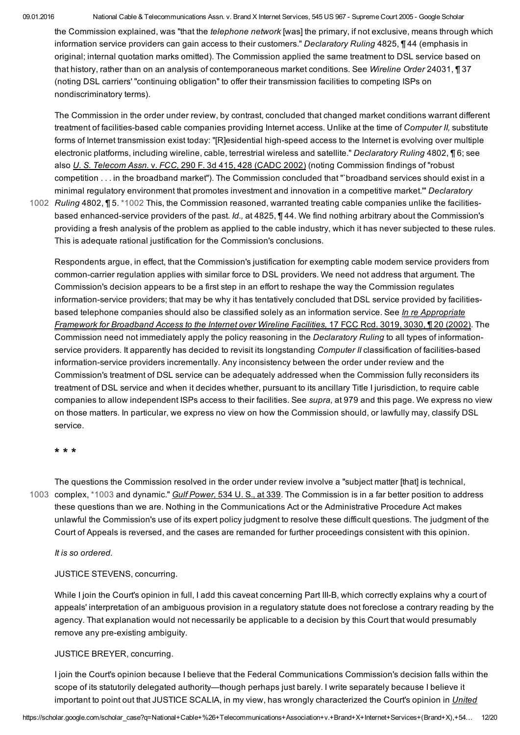the Commission explained, was "that the *telephone network* [was] the primary, if not exclusive, means through which information service providers can gain access to their customers." *Declaratory Ruling* 4825, ¶ 44 (emphasis in original; internal quotation marks omitted). The Commission applied the same treatment to DSL service based on that history, rather than on an analysis of contemporaneous market conditions. See *Wireline Order* 24031, ¶ 37 (noting DSL carriers' "continuing obligation" to offer their transmission facilities to competing ISPs on nondiscriminatory terms).

The Commission in the order under review, by contrast, concluded that changed market conditions warrant different treatment of facilitiesbased cable companies providing Internet access. Unlike at the time of *Computer II,* substitute forms of Internet transmission exist today: "[R]esidential high-speed access to the Internet is evolving over multiple electronic platforms, including wireline, cable, terrestrial wireless and satellite." *Declaratory Ruling* 4802, ¶ 6; see also *U. S. [Telecom](https://scholar.google.com/scholar_case?case=4802170187882796136&q=National+Cable+%26+Telecommunications+Association+v.+Brand+X+Internet+Services+(Brand+X),+545+U.S.+967,+125+S.Ct.+2688,+162+Lae+Ed.2d+820+(2005)&hl=en&as_sdt=6,33&scilh=0) Assn.* v. *FCC,* 290 F. 3d 415, 428 (CADC 2002) (noting Commission findings of "robust competition . . . in the broadband market"). The Commission concluded that "`broadband services should exist in a minimal regulatory environment that promotes investment and innovation in a competitive market.'" *Declaratory*

1002 Ruling 4802, 15. \*1002 This, the Commission reasoned, warranted treating cable companies unlike the facilitiesbased enhanced-service providers of the past. *Id.*, at 4825, ¶ 44. We find nothing arbitrary about the Commission's providing a fresh analysis of the problem as applied to the cable industry, which it has never subjected to these rules. This is adequate rational justification for the Commission's conclusions.

Respondents argue, in effect, that the Commission's justification for exempting cable modem service providers from common-carrier regulation applies with similar force to DSL providers. We need not address that argument. The Commission's decision appears to be a first step in an effort to reshape the way the Commission regulates information-service providers; that may be why it has tentatively concluded that DSL service provided by facilitiesbased telephone companies should also be classified solely as an information service. See *In re [Appropriate](https://scholar.google.com/scholar_case?about=12014053870932737196&q=National+Cable+%26+Telecommunications+Association+v.+Brand+X+Internet+Services+(Brand+X),+545+U.S.+967,+125+S.Ct.+2688,+162+Lae+Ed.2d+820+(2005)&hl=en&as_sdt=6,33&scilh=0) Framework for Broadband Access to the Internet over Wireline Facilities,* 17 FCC Rcd. 3019, 3030, ¶ 20 (2002). The Commission need not immediately apply the policy reasoning in the *Declaratory Ruling* to all types of informationservice providers. It apparently has decided to revisit its longstanding *Computer II* classification of facilitiesbased information-service providers incrementally. Any inconsistency between the order under review and the Commission's treatment of DSL service can be adequately addressed when the Commission fully reconsiders its treatment of DSL service and when it decides whether, pursuant to its ancillary Title I jurisdiction, to require cable companies to allow independent ISPs access to their facilities. See *supra,* at 979 and this page. We express no view on those matters. In particular, we express no view on how the Commission should, or lawfully may, classify DSL service.

### \* \* \*

The questions the Commission resolved in the order under review involve a "subject matter [that] is technical, 1003  $\,$  complex, \*1003 and dynamic." *Gulf Power*, 534 U. S., at 339. The Commission is in a far better position to address these questions than we are. Nothing in the Communications Act or the Administrative Procedure Act makes unlawful the Commission's use of its expert policy judgment to resolve these difficult questions. The judgment of the Court of Appeals is reversed, and the cases are remanded for further proceedings consistent with this opinion.

*It is so ordered.*

### JUSTICE STEVENS, concurring.

While I join the Court's opinion in full, I add this caveat concerning Part III-B, which correctly explains why a court of appeals' interpretation of an ambiguous provision in a regulatory statute does not foreclose a contrary reading by the agency. That explanation would not necessarily be applicable to a decision by this Court that would presumably remove any pre-existing ambiguity.

### JUSTICE BREYER, concurring.

I join the Court's opinion because I believe that the Federal Communications Commission's decision falls within the scope of its statutorily delegated authority—though perhaps just barely. I write separately because I believe it important to point out that JUSTICE SCALIA, in my view, has wrongly [characterized](https://scholar.google.com/scholar_case?case=6553117666921312576&q=National+Cable+%26+Telecommunications+Association+v.+Brand+X+Internet+Services+(Brand+X),+545+U.S.+967,+125+S.Ct.+2688,+162+Lae+Ed.2d+820+(2005)&hl=en&as_sdt=6,33&scilh=0) the Court's opinion in *United*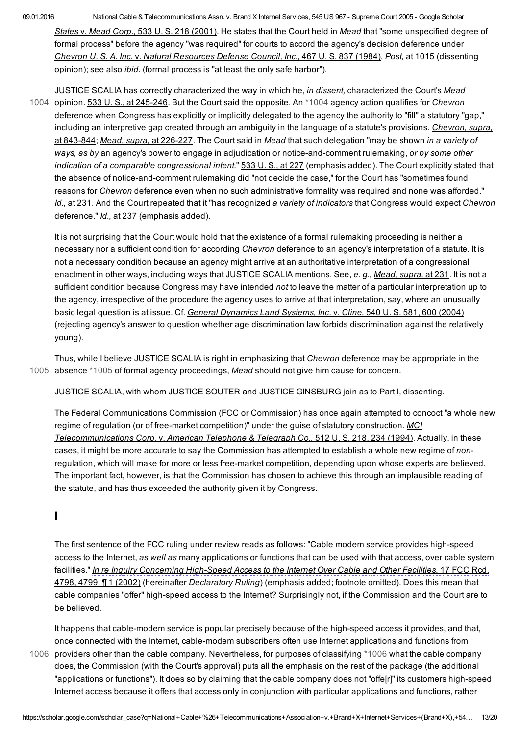*States* v. *Mead Corp.,* 533 U. S. 218 (2001). He states that the Court held in *Mead* that "some [unspecified](https://scholar.google.com/scholar_case?case=6553117666921312576&q=National+Cable+%26+Telecommunications+Association+v.+Brand+X+Internet+Services+(Brand+X),+545+U.S.+967,+125+S.Ct.+2688,+162+Lae+Ed.2d+820+(2005)&hl=en&as_sdt=6,33&scilh=0) degree of formal process" before the agency "was required" for courts to accord the agency's decision deference under *Chevron U. S. A. Inc.* v. *Natural [Resources](https://scholar.google.com/scholar_case?case=14437597860792759765&q=National+Cable+%26+Telecommunications+Association+v.+Brand+X+Internet+Services+(Brand+X),+545+U.S.+967,+125+S.Ct.+2688,+162+Lae+Ed.2d+820+(2005)&hl=en&as_sdt=6,33&scilh=0) Defense Council, Inc.,* 467 U. S. 837 (1984). *Post,* at 1015 (dissenting opinion); see also *ibid.* (formal process is "at least the only safe harbor").

JUSTICE SCALIA has correctly characterized the way in which he, *in dissent,* characterized the Court's *Mead* 1004 opinion. 533 U. S., at 245-246. But the Court said the opposite. An \*1004 agency action qualifies for *Chevron* deference when Congress has explicitly or implicitly delegated to the agency the authority to "fill" a statutory "gap," including an [interpretive](https://scholar.google.com/scholar_case?case=14437597860792759765&q=National+Cable+%26+Telecommunications+Association+v.+Brand+X+Internet+Services+(Brand+X),+545+U.S.+967,+125+S.Ct.+2688,+162+Lae+Ed.2d+820+(2005)&hl=en&as_sdt=6,33&scilh=0) gap created through an ambiguity in the language of a statute's provisions. *Chevron, supra,* at 843844; *Mead, supra,* at [226227](https://scholar.google.com/scholar_case?case=6553117666921312576&q=National+Cable+%26+Telecommunications+Association+v.+Brand+X+Internet+Services+(Brand+X),+545+U.S.+967,+125+S.Ct.+2688,+162+Lae+Ed.2d+820+(2005)&hl=en&as_sdt=6,33&scilh=0). The Court said in *Mead* that such delegation "may be shown *in a variety of ways, as by* an agency's power to engage in adjudication or notice-and-comment rulemaking, or by some other *indication of a comparable congressional intent.*" [533](https://scholar.google.com/scholar_case?case=6553117666921312576&q=National+Cable+%26+Telecommunications+Association+v.+Brand+X+Internet+Services+(Brand+X),+545+U.S.+967,+125+S.Ct.+2688,+162+Lae+Ed.2d+820+(2005)&hl=en&as_sdt=6,33&scilh=0) U. S., at 227 (emphasis added). The Court explicitly stated that the absence of notice-and-comment rulemaking did "not decide the case," for the Court has "sometimes found reasons for *Chevron* deference even when no such administrative formality was required and none was afforded." *Id.,* at 231. And the Court repeated that it "has recognized *a variety of indicators* that Congress would expect *Chevron* deference." *Id.,* at 237 (emphasis added).

It is not surprising that the Court would hold that the existence of a formal rulemaking proceeding is neither a necessary nor a sufficient condition for according *Chevron* deference to an agency's interpretation of a statute. It is not a necessary condition because an agency might arrive at an authoritative interpretation of a congressional enactment in other ways, including ways that JUSTICE SCALIA mentions. See, *e. g., Mead, [supra,](https://scholar.google.com/scholar_case?case=6553117666921312576&q=National+Cable+%26+Telecommunications+Association+v.+Brand+X+Internet+Services+(Brand+X),+545+U.S.+967,+125+S.Ct.+2688,+162+Lae+Ed.2d+820+(2005)&hl=en&as_sdt=6,33&scilh=0)* at 231. It is not a sufficient condition because Congress may have intended *not* to leave the matter of a particular interpretation up to the agency, irrespective of the procedure the agency uses to arrive at that interpretation, say, where an unusually basic legal question is at issue. Cf. *General [Dynamics](https://scholar.google.com/scholar_case?case=15090100818725786430&q=National+Cable+%26+Telecommunications+Association+v.+Brand+X+Internet+Services+(Brand+X),+545+U.S.+967,+125+S.Ct.+2688,+162+Lae+Ed.2d+820+(2005)&hl=en&as_sdt=6,33&scilh=0) Land Systems, Inc.* v. *Cline,* 540 U. S. 581, 600 (2004) (rejecting agency's answer to question whether age discrimination law forbids discrimination against the relatively young).

Thus, while I believe JUSTICE SCALIA is right in emphasizing that *Chevron* deference may be appropriate in the 1005 absence \*1005 of formal agency proceedings, *Mead* should not give him cause for concern.

JUSTICE SCALIA, with whom JUSTICE SOUTER and JUSTICE GINSBURG join as to Part I, dissenting.

The Federal Communications Commission (FCC or Commission) has once again attempted to concoct "a whole new regime of regulation (or of freemarket competition)" under the guise of statutory construction. *MCI [Telecommunications](https://scholar.google.com/scholar_case?case=8426397920403144909&q=National+Cable+%26+Telecommunications+Association+v.+Brand+X+Internet+Services+(Brand+X),+545+U.S.+967,+125+S.Ct.+2688,+162+Lae+Ed.2d+820+(2005)&hl=en&as_sdt=6,33&scilh=0) Corp.* v. *American Telephone & Telegraph Co.,* 512 U. S. 218, 234 (1994). Actually, in these cases, it might be more accurate to say the Commission has attempted to establish a whole new regime of *non*regulation, which will make for more or less free-market competition, depending upon whose experts are believed. The important fact, however, is that the Commission has chosen to achieve this through an implausible reading of the statute, and has thus exceeded the authority given it by Congress.

# I

The first sentence of the FCC ruling under review reads as follows: "Cable modem service provides high-speed access to the Internet, *as well as* many applications or functions that can be used with that access, over cable system *facilities." In re Inquiry Concerning High-Speed Access to the Internet Over Cable and Other Facilities, 17 FCC Rcd.* 4798, 4799, ¶ 1 (2002) (hereinafter *Declaratory Ruling*) (emphasis added; footnote omitted). Does this mean that cable companies "offer" high-speed access to the Internet? Surprisingly not, if the Commission and the Court are to be believed.

It happens that cable-modem service is popular precisely because of the high-speed access it provides, and that, once connected with the Internet, cable-modem subscribers often use Internet applications and functions from

1006 providers other than the cable company. Nevertheless, for purposes of classifying \*1006 what the cable company does, the Commission (with the Court's approval) puts all the emphasis on the rest of the package (the additional "applications or functions"). It does so by claiming that the cable company does not "offe[r]" its customers high-speed Internet access because it offers that access only in conjunction with particular applications and functions, rather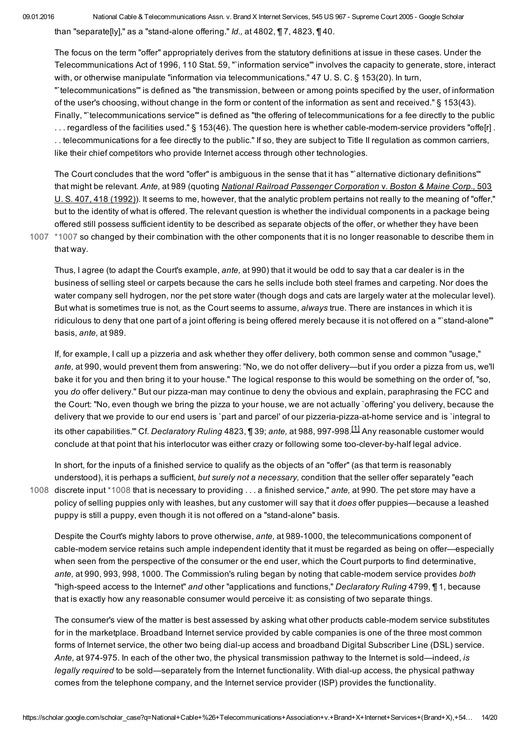than "separate[ly]," as a "stand-alone offering."  $\frac{Id}{d}$ , at 4802, ¶ 7, 4823, ¶ 40.

The focus on the term "offer" appropriately derives from the statutory definitions at issue in these cases. Under the Telecommunications Act of 1996, 110 Stat. 59, "`information service'" involves the capacity to generate, store, interact with, or otherwise manipulate "information via telecommunications." 47 U. S. C. § 153(20). In turn, "`telecommunications'" is defined as "the transmission, between or among points specified by the user, of information of the user's choosing, without change in the form or content of the information as sent and received." § 153(43). Finally, "`telecommunications service'" is defined as "the offering of telecommunications for a fee directly to the public ... regardless of the facilities used." § 153(46). The question here is whether cable-modem-service providers "offe[r]. . . telecommunications for a fee directly to the public." If so, they are subject to Title II regulation as common carriers, like their chief competitors who provide Internet access through other technologies.

The Court concludes that the word "offer" is ambiguous in the sense that it has "`alternative dictionary definitions'" that might be relevant. *Ante,* at 989 (quoting *National Railroad Passenger [Corporation](https://scholar.google.com/scholar_case?case=18043726446877039289&q=National+Cable+%26+Telecommunications+Association+v.+Brand+X+Internet+Services+(Brand+X),+545+U.S.+967,+125+S.Ct.+2688,+162+Lae+Ed.2d+820+(2005)&hl=en&as_sdt=6,33&scilh=0)* v. *Boston & Maine Corp.,* 503 U. S. 407, 418 (1992)). It seems to me, however, that the analytic problem pertains not really to the meaning of "offer," but to the identity of what is offered. The relevant question is whether the individual components in a package being offered still possess sufficient identity to be described as separate objects of the offer, or whether they have been 1007 \*1007 so changed by their combination with the other components that it is no longer reasonable to describe them in

that way.

Thus, I agree (to adapt the Court's example, *ante,* at 990) that it would be odd to say that a car dealer is in the business of selling steel or carpets because the cars he sells include both steel frames and carpeting. Nor does the water company sell hydrogen, nor the pet store water (though dogs and cats are largely water at the molecular level). But what is sometimes true is not, as the Court seems to assume, *always* true. There are instances in which it is ridiculous to deny that one part of a joint offering is being offered merely because it is not offered on a "stand-alone" basis, *ante,* at 989.

If, for example, I call up a pizzeria and ask whether they offer delivery, both common sense and common "usage," *ante,* at 990, would prevent them from answering: "No, we do not offer delivery—but if you order a pizza from us, we'll bake it for you and then bring it to your house." The logical response to this would be something on the order of, "so, you *do* offer delivery." But our pizza-man may continue to deny the obvious and explain, paraphrasing the FCC and the Court: "No, even though we bring the pizza to your house, we are not actually `offering' you delivery, because the delivery that we provide to our end users is `part and parcel' of our pizzeria-pizza-at-home service and is `integral to its other capabilities.'" Cf. *Declaratory Ruling* 4823, ¶ 39; *ante,* at 988, 997-998.<sup>[1]</sup> Any reasonable customer would conclude at that point that his interlocutor was either crazy or following some too-clever-by-half legal advice.

In short, for the inputs of a finished service to qualify as the objects of an "offer" (as that term is reasonably understood), it is perhaps a sufficient, *but surely not a necessary,* condition that the seller offer separately "each 1008 discrete input \*1008 that is necessary to providing . . . a finished service," ante, at 990. The pet store may have a policy of selling puppies only with leashes, but any customer will say that it *does* offer puppies—because a leashed puppy is still a puppy, even though it is not offered on a "stand-alone" basis.

Despite the Court's mighty labors to prove otherwise, *ante*, at 989-1000, the telecommunications component of cable-modem service retains such ample independent identity that it must be regarded as being on offer—especially when seen from the perspective of the consumer or the end user, which the Court purports to find determinative, *ante,* at 990, 993, 998, 1000. The Commission's ruling began by noting that cablemodem service provides *both* "high-speed access to the Internet" *and* other "applications and functions," *Declaratory Ruling* 4799, ¶ 1, because that is exactly how any reasonable consumer would perceive it: as consisting of two separate things.

The consumer's view of the matter is best assessed by asking what other products cable-modem service substitutes for in the marketplace. Broadband Internet service provided by cable companies is one of the three most common forms of Internet service, the other two being dial-up access and broadband Digital Subscriber Line (DSL) service. *Ante*, at 974-975. In each of the other two, the physical transmission pathway to the Internet is sold—indeed, *is legally required* to be sold—separately from the Internet functionality. With dial-up access, the physical pathway comes from the telephone company, and the Internet service provider (ISP) provides the functionality.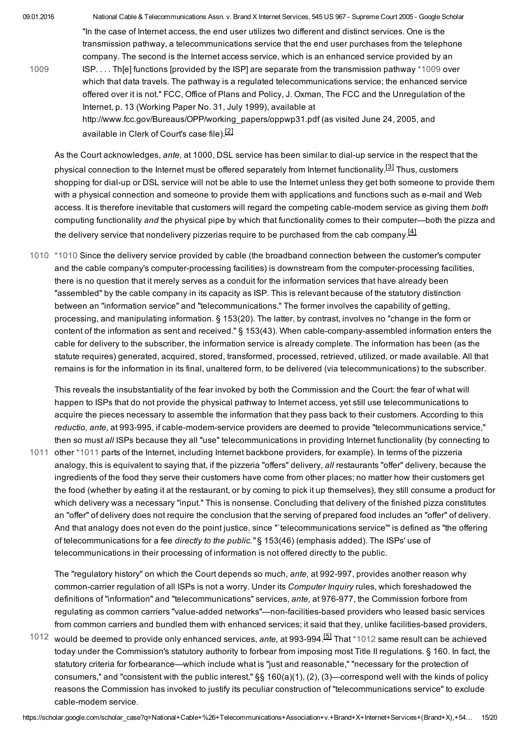"In the case of Internet access, the end user utilizes two different and distinct services. One is the transmission pathway, a telecommunications service that the end user purchases from the telephone company. The second is the Internet access service, which is an enhanced service provided by an

ISP. . . . Th[e] functions [provided by the ISP] are separate from the transmission pathway \*1009 over which that data travels. The pathway is a regulated telecommunications service; the enhanced service offered over it is not." FCC, Office of Plans and Policy, J. Oxman, The FCC and the Unregulation of the Internet, p. 13 (Working Paper No. 31, July 1999), available at http://www.fcc.gov/Bureaus/OPP/working\_papers/oppwp31.pdf (as visited June 24, 2005, and available in Clerk of Court's case file).<sup>[2]</sup> 1009

As the Court acknowledges, ante, at 1000, DSL service has been similar to dial-up service in the respect that the physical connection to the Internet must be offered separately from Internet functionality.<sup>[3]</sup> Thus, customers shopping for dial-up or DSL service will not be able to use the Internet unless they get both someone to provide them with a physical connection and someone to provide them with applications and functions such as e-mail and Web access. It is therefore inevitable that customers will regard the competing cable-modem service as giving them *both* computing functionality *and* the physical pipe by which that functionality comes to their computer—both the pizza and the delivery service that nondelivery pizzerias require to be purchased from the cab company.<sup>[4]</sup>

1010 \*1010 Since the delivery service provided by cable (the broadband connection between the customer's computer and the cable company's computer-processing facilities) is downstream from the computer-processing facilities, there is no question that it merely serves as a conduit for the information services that have already been "assembled" by the cable company in its capacity as ISP. This is relevant because of the statutory distinction between an "information service" and "telecommunications." The former involves the capability of getting, processing, and manipulating information. § 153(20). The latter, by contrast, involves no "change in the form or content of the information as sent and received." § 153(43). When cable-company-assembled information enters the cable for delivery to the subscriber, the information service is already complete. The information has been (as the statute requires) generated, acquired, stored, transformed, processed, retrieved, utilized, or made available. All that remains is for the information in its final, unaltered form, to be delivered (via telecommunications) to the subscriber.

This reveals the insubstantiality of the fear invoked by both the Commission and the Court: the fear of what will happen to ISPs that do not provide the physical pathway to Internet access, yet still use telecommunications to acquire the pieces necessary to assemble the information that they pass back to their customers. According to this reductio, ante, at 993-995, if cable-modem-service providers are deemed to provide "telecommunications service," then so must *all* ISPs because they all "use" telecommunications in providing Internet functionality (by connecting to

1011 other \*1011 parts of the Internet, including Internet backbone providers, for example). In terms of the pizzeria analogy, this is equivalent to saying that, if the pizzeria "offers" delivery, *all* restaurants "offer" delivery, because the ingredients of the food they serve their customers have come from other places; no matter how their customers get the food (whether by eating it at the restaurant, or by coming to pick it up themselves), they still consume a product for which delivery was a necessary "input." This is nonsense. Concluding that delivery of the finished pizza constitutes an "offer" of delivery does not require the conclusion that the serving of prepared food includes an "offer" of delivery. And that analogy does not even do the point justice, since "`telecommunications service'" is defined as "the offering of telecommunications for a fee *directly to the public."* § 153(46) (emphasis added). The ISPs' use of telecommunications in their processing of information is not offered directly to the public.

The "regulatory history" on which the Court depends so much, *ante*, at 992-997, provides another reason why common-carrier regulation of all ISPs is not a worry. Under its *Computer Inquiry* rules, which foreshadowed the definitions of "information" and "telecommunications" services, ante, at 976-977, the Commission forbore from regulating as common carriers "value-added networks"—non-facilities-based providers who leased basic services from common carriers and bundled them with enhanced services; it said that they, unlike facilities-based providers,

1012 would be deemed to provide only enhanced services, ante, at 993-994.<sup>[5]</sup> That \*1012 same result can be achieved today under the Commission's statutory authority to forbear from imposing most Title II regulations. § 160. In fact, the statutory criteria for forbearance—which include what is "just and reasonable," "necessary for the protection of consumers," and "consistent with the public interest," §§ 160(a)(1), (2), (3)—correspond well with the kinds of policy reasons the Commission has invoked to justify its peculiar construction of "telecommunications service" to exclude cable-modem service.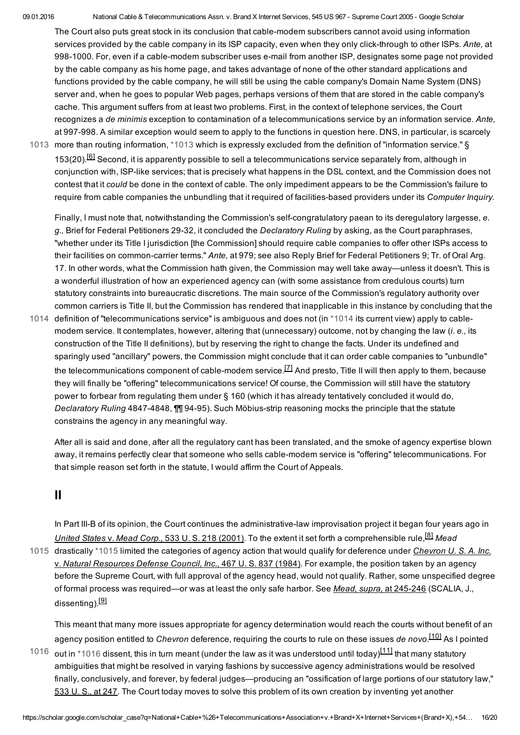The Court also puts great stock in its conclusion that cable-modem subscribers cannot avoid using information services provided by the cable company in its ISP capacity, even when they only click-through to other ISPs. Ante, at 998-1000. For, even if a cable-modem subscriber uses e-mail from another ISP, designates some page not provided by the cable company as his home page, and takes advantage of none of the other standard applications and functions provided by the cable company, he will still be using the cable company's Domain Name System (DNS) server and, when he goes to popular Web pages, perhaps versions of them that are stored in the cable company's cache. This argument suffers from at least two problems. First, in the context of telephone services, the Court recognizes a *de minimis* exception to contamination of a telecommunications service by an information service. *Ante,* at 997-998. A similar exception would seem to apply to the functions in question here. DNS, in particular, is scarcely

1013 more than routing information, \*1013 which is expressly excluded from the definition of "information service." § 153(20).<sup>[6]</sup> Second, it is apparently possible to sell a telecommunications service separately from, although in conjunction with, ISP-like services; that is precisely what happens in the DSL context, and the Commission does not contest that it *could* be done in the context of cable. The only impediment appears to be the Commission's failure to require from cable companies the unbundling that it required of facilities-based providers under its *Computer Inquiry.* 

Finally, I must note that, notwithstanding the Commission's self-congratulatory paean to its deregulatory largesse, e. *g.,* Brief for Federal Petitioners 2932, it concluded the *Declaratory Ruling* by asking, as the Court paraphrases, "whether under its Title I jurisdiction [the Commission] should require cable companies to offer other ISPs access to their facilities on common-carrier terms." Ante, at 979; see also Reply Brief for Federal Petitioners 9; Tr. of Oral Arg. 17. In other words, what the Commission hath given, the Commission may well take away—unless it doesn't. This is a wonderful illustration of how an experienced agency can (with some assistance from credulous courts) turn statutory constraints into bureaucratic discretions. The main source of the Commission's regulatory authority over common carriers is Title II, but the Commission has rendered that inapplicable in this instance by concluding that the

1014 definition of "telecommunications service" is ambiguous and does not (in \*1014 its current view) apply to cablemodem service. It contemplates, however, altering that (unnecessary) outcome, not by changing the law (*i. e.,* its construction of the Title II definitions), but by reserving the right to change the facts. Under its undefined and sparingly used "ancillary" powers, the Commission might conclude that it can order cable companies to "unbundle" the telecommunications component of cable-modem service.<sup>[Z]</sup> And presto, Title II will then apply to them, because they will finally be "offering" telecommunications service! Of course, the Commission will still have the statutory power to forbear from regulating them under § 160 (which it has already tentatively concluded it would do, *Declaratory Ruling* 4847-4848,  $\P\P\P$  94-95). Such Möbius-strip reasoning mocks the principle that the statute constrains the agency in any meaningful way.

After all is said and done, after all the regulatory cant has been translated, and the smoke of agency expertise blown away, it remains perfectly clear that someone who sells cable-modem service is "offering" telecommunications. For that simple reason set forth in the statute, I would affirm the Court of Appeals.

# II

In Part III-B of its opinion, the Court continues the administrative-law improvisation project it began four years ago in *United States* v. *Mead Corp.,* 533 U. S. 218 [\(2001\).](https://scholar.google.com/scholar_case?case=6553117666921312576&q=National+Cable+%26+Telecommunications+Association+v.+Brand+X+Internet+Services+(Brand+X),+545+U.S.+967,+125+S.Ct.+2688,+162+Lae+Ed.2d+820+(2005)&hl=en&as_sdt=6,33&scilh=0) To the extent it set forth a comprehensible rule, [8] *Mead*

drastically \*1015 limited the categories of agency action that would qualify for deference under *Chevron U. S. A. Inc.* 1015 v. *Natural [Resources](https://scholar.google.com/scholar_case?case=14437597860792759765&q=National+Cable+%26+Telecommunications+Association+v.+Brand+X+Internet+Services+(Brand+X),+545+U.S.+967,+125+S.Ct.+2688,+162+Lae+Ed.2d+820+(2005)&hl=en&as_sdt=6,33&scilh=0) Defense Council, Inc.,* 467 U. S. 837 (1984). For example, the position taken by an agency before the Supreme Court, with full approval of the agency head, would not qualify. Rather, some unspecified degree of formal process was required—or was at least the only safe harbor. See *Mead, supra,* at [245246](https://scholar.google.com/scholar_case?case=6553117666921312576&q=National+Cable+%26+Telecommunications+Association+v.+Brand+X+Internet+Services+(Brand+X),+545+U.S.+967,+125+S.Ct.+2688,+162+Lae+Ed.2d+820+(2005)&hl=en&as_sdt=6,33&scilh=0) (SCALIA, J., dissenting).<sup>[9]</sup>

This meant that many more issues appropriate for agency determination would reach the courts without benefit of an agency position entitled to *Chevron* deference, requiring the courts to rule on these issues *de novo.* [10] As I pointed

1016 out in \*1016 dissent, this in turn meant (under the law as it was understood until today)<sup>[11]</sup> that many statutory ambiguities that might be resolved in varying fashions by successive agency administrations would be resolved finally, conclusively, and forever, by federal judges—producing an "ossification of large portions of our statutory law," 533 U. S., at [247.](https://scholar.google.com/scholar_case?case=6553117666921312576&q=National+Cable+%26+Telecommunications+Association+v.+Brand+X+Internet+Services+(Brand+X),+545+U.S.+967,+125+S.Ct.+2688,+162+Lae+Ed.2d+820+(2005)&hl=en&as_sdt=6,33&scilh=0) The Court today moves to solve this problem of its own creation by inventing yet another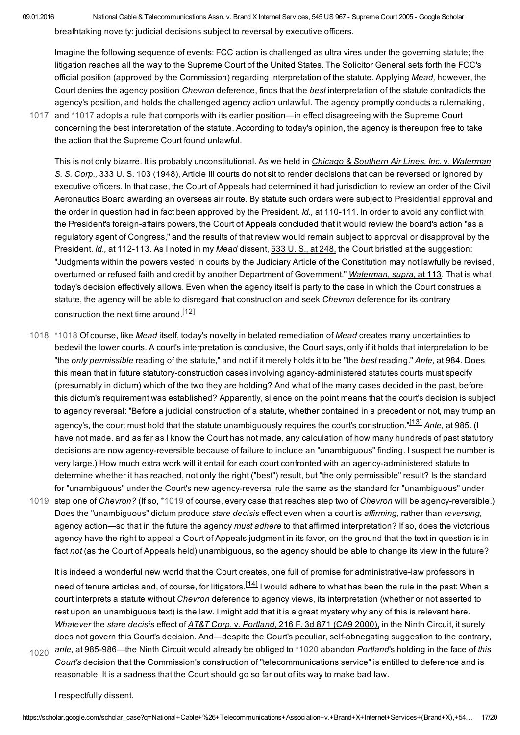breathtaking novelty: judicial decisions subject to reversal by executive officers.

Imagine the following sequence of events: FCC action is challenged as ultra vires under the governing statute; the litigation reaches all the way to the Supreme Court of the United States. The Solicitor General sets forth the FCC's official position (approved by the Commission) regarding interpretation of the statute. Applying *Mead,* however, the Court denies the agency position *Chevron* deference, finds that the *best* interpretation of the statute contradicts the agency's position, and holds the challenged agency action unlawful. The agency promptly conducts a rulemaking,

1017 and \*1017 adopts a rule that comports with its earlier position—in effect disagreeing with the Supreme Court concerning the best interpretation of the statute. According to today's opinion, the agency is thereupon free to take the action that the Supreme Court found unlawful.

This is not only bizarre. It is probably [unconstitutional.](https://scholar.google.com/scholar_case?case=4212015535308872956&q=National+Cable+%26+Telecommunications+Association+v.+Brand+X+Internet+Services+(Brand+X),+545+U.S.+967,+125+S.Ct.+2688,+162+Lae+Ed.2d+820+(2005)&hl=en&as_sdt=6,33&scilh=0) As we held in *Chicago & Southern Air Lines, Inc.* v. *Waterman S. S. Corp.,* 333 U. S. 103 (1948), Article III courts do not sit to render decisions that can be reversed or ignored by executive officers. In that case, the Court of Appeals had determined it had jurisdiction to review an order of the Civil Aeronautics Board awarding an overseas air route. By statute such orders were subject to Presidential approval and the order in question had in fact been approved by the President. *Id.*, at 110-111. In order to avoid any conflict with the President's foreign-affairs powers, the Court of Appeals concluded that it would review the board's action "as a regulatory agent of Congress," and the results of that review would remain subject to approval or disapproval by the President. *Id.*, at 112-113. As I noted in my *Mead* dissent, 533 U. S., at [248,](https://scholar.google.com/scholar_case?case=6553117666921312576&q=National+Cable+%26+Telecommunications+Association+v.+Brand+X+Internet+Services+(Brand+X),+545+U.S.+967,+125+S.Ct.+2688,+162+Lae+Ed.2d+820+(2005)&hl=en&as_sdt=6,33&scilh=0) the Court bristled at the suggestion: "Judgments within the powers vested in courts by the Judiciary Article of the Constitution may not lawfully be revised, overturned or refused faith and credit by another Department of Government." *[Waterman,](https://scholar.google.com/scholar_case?case=4212015535308872956&q=National+Cable+%26+Telecommunications+Association+v.+Brand+X+Internet+Services+(Brand+X),+545+U.S.+967,+125+S.Ct.+2688,+162+Lae+Ed.2d+820+(2005)&hl=en&as_sdt=6,33&scilh=0) supra,* at 113. That is what today's decision effectively allows. Even when the agency itself is party to the case in which the Court construes a statute, the agency will be able to disregard that construction and seek *Chevron* deference for its contrary construction the next time around. [12]

1018 \*1018 Of course, like *Mead* itself, today's novelty in belated remediation of *Mead* creates many uncertainties to bedevil the lower courts. A court's interpretation is conclusive, the Court says, only if it holds that interpretation to be "the *only permissible* reading of the statute," and not if it merely holds it to be "the *best* reading." *Ante,* at 984. Does this mean that in future statutory-construction cases involving agency-administered statutes courts must specify (presumably in dictum) which of the two they are holding? And what of the many cases decided in the past, before this dictum's requirement was established? Apparently, silence on the point means that the court's decision is subject to agency reversal: "Before a judicial construction of a statute, whether contained in a precedent or not, may trump an agency's, the court must hold that the statute unambiguously requires the court's construction." [13] *Ante,* at 985. (I have not made, and as far as I know the Court has not made, any calculation of how many hundreds of past statutory decisions are now agency-reversible because of failure to include an "unambiguous" finding. I suspect the number is very large.) How much extra work will it entail for each court confronted with an agency-administered statute to determine whether it has reached, not only the right ("best") result, but "the only permissible" result? Is the standard for "unambiguous" under the Court's new agency-reversal rule the same as the standard for "unambiguous" under

1019 step one of *Chevron?* (If so, \*1019 of course, every case that reaches step two of *Chevron* will be agency-reversible.) Does the "unambiguous" dictum produce *stare decisis* effect even when a court is *affirming,* rather than *reversing,* agency action—so that in the future the agency *must adhere* to that affirmed interpretation? If so, does the victorious agency have the right to appeal a Court of Appeals judgment in its favor, on the ground that the text in question is in fact *not* (as the Court of Appeals held) unambiguous, so the agency should be able to change its view in the future?

It is indeed a wonderful new world that the Court creates, one full of promise for administrative-law professors in need of tenure articles and, of course, for litigators.<sup>[14]</sup> I would adhere to what has been the rule in the past: When a court interprets a statute without *Chevron* deference to agency views, its interpretation (whether or not asserted to rest upon an unambiguous text) is the law. I might add that it is a great mystery why any of this is relevant here. *Whatever* the *stare decisis* effect of *AT&T Corp.* v. *[Portland,](https://scholar.google.com/scholar_case?case=12748541126482111647&q=National+Cable+%26+Telecommunications+Association+v.+Brand+X+Internet+Services+(Brand+X),+545+U.S.+967,+125+S.Ct.+2688,+162+Lae+Ed.2d+820+(2005)&hl=en&as_sdt=6,33&scilh=0)* 216 F. 3d 871 (CA9 2000), in the Ninth Circuit, it surely does not govern this Court's decision. And—despite the Court's peculiar, self-abnegating suggestion to the contrary,

*ante,* at 985986—the Ninth Circuit would already be obliged to \*1020 abandon *Portland*'s holding in the face of *this Court's* decision that the Commission's construction of "telecommunications service" is entitled to deference and is reasonable. It is a sadness that the Court should go so far out of its way to make bad law. 1020

I respectfully dissent.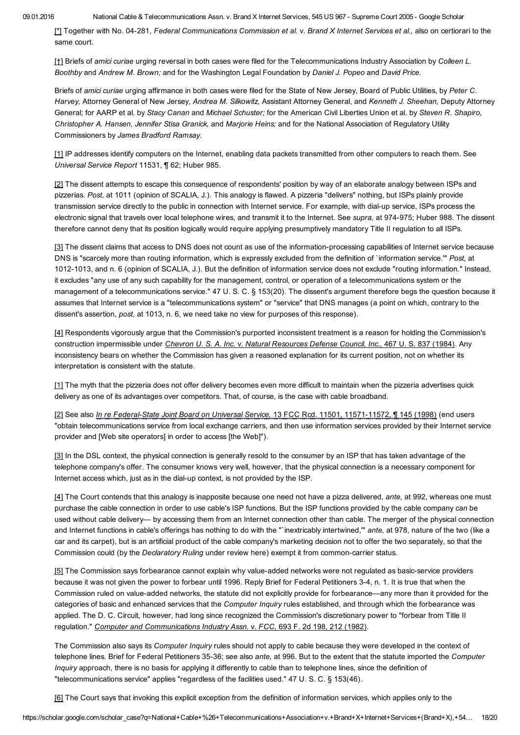[\[\\*\]](#page-0-3) Together with No. 04281, *Federal Communications Commission et al.* v. *Brand X Internet Services et al.,* also on certiorari to the same court.

[\[†\]](#page-0-4) Briefs of *amici curiae* urging reversal in both cases were filed for the Telecommunications Industry Association by *Colleen L. Boothby* and *Andrew M. Brown;* and for the Washington Legal Foundation by *Daniel J. Popeo* and *David Price.*

Briefs of *amici curiae* urging affirmance in both cases were filed for the State of New Jersey, Board of Public Utilities, by *Peter C. Harvey,* Attorney General of New Jersey, *Andrea M. Silkowitz,* Assistant Attorney General, and *Kenneth J. Sheehan,* Deputy Attorney General; for AARP et al. by *Stacy Canan* and *Michael Schuster;* for the American Civil Liberties Union et al. by *Steven R. Shapiro, Christopher A. Hansen, Jennifer Stisa Granick,* and *Marjorie Heins;* and for the National Association of Regulatory Utility Commissioners by *James Bradford Ramsay.*

[1] IP addresses identify computers on the Internet, enabling data packets transmitted from other computers to reach them. See *Universal Service Report* 11531, ¶ 62; Huber 985.

[2] The dissent attempts to escape this consequence of respondents' position by way of an elaborate analogy between ISPs and pizzerias. *Post,* at 1011 (opinion of SCALIA, J.). This analogy is flawed. A pizzeria "delivers" nothing, but ISPs plainly provide transmission service directly to the public in connection with Internet service. For example, with dial-up service, ISPs process the electronic signal that travels over local telephone wires, and transmit it to the Internet. See *supra*, at 974-975; Huber 988. The dissent therefore cannot deny that its position logically would require applying presumptively mandatory Title II regulation to all ISPs.

[3] The dissent claims that access to DNS does not count as use of the information-processing capabilities of Internet service because DNS is "scarcely more than routing information, which is expressly excluded from the definition of `information service.'" *Post,* at 1012-1013, and n. 6 (opinion of SCALIA, J.). But the definition of information service does not exclude "routing information." Instead, it excludes "any use of any such capability for the management, control, or operation of a telecommunications system or the management of a telecommunications service." 47 U. S. C. § 153(20). The dissent's argument therefore begs the question because it assumes that Internet service is a "telecommunications system" or "service" that DNS manages (a point on which, contrary to the dissent's assertion, *post,* at 1013, n. 6, we need take no view for purposes of this response).

[4] Respondents vigorously argue that the Commission's purported inconsistent treatment is a reason for holding the Commission's construction impermissible under *Chevron U. S. A. Inc.* v. *Natural [Resources](https://scholar.google.com/scholar_case?case=14437597860792759765&q=National+Cable+%26+Telecommunications+Association+v.+Brand+X+Internet+Services+(Brand+X),+545+U.S.+967,+125+S.Ct.+2688,+162+Lae+Ed.2d+820+(2005)&hl=en&as_sdt=6,33&scilh=0) Defense Council, Inc.,* 467 U. S. 837 (1984). Any inconsistency bears on whether the Commission has given a reasoned explanation for its current position, not on whether its interpretation is consistent with the statute.

[1] The myth that the pizzeria does not offer delivery becomes even more difficult to maintain when the pizzeria advertises quick delivery as one of its advantages over competitors. That, of course, is the case with cable broadband.

[2] See also *In re FederalState Joint Board on Universal Service,* 13 FCC Rcd. 11501, [1157111572,](https://scholar.google.com/scholar_case?about=14248753569542365919&q=National+Cable+%26+Telecommunications+Association+v.+Brand+X+Internet+Services+(Brand+X),+545+U.S.+967,+125+S.Ct.+2688,+162+Lae+Ed.2d+820+(2005)&hl=en&as_sdt=6,33&scilh=0) ¶ 145 (1998) (end users "obtain telecommunications service from local exchange carriers, and then use information services provided by their Internet service provider and [Web site operators] in order to access [the Web]").

[3] In the DSL context, the physical connection is generally resold to the consumer by an ISP that has taken advantage of the telephone company's offer. The consumer knows very well, however, that the physical connection is a necessary component for Internet access which, just as in the dial-up context, is not provided by the ISP.

[4] The Court contends that this analogy is inapposite because one need not have a pizza delivered, *ante,* at 992, whereas one must purchase the cable connection in order to use cable's ISP functions. But the ISP functions provided by the cable company *can* be used without cable delivery— by accessing them from an Internet connection other than cable. The merger of the physical connection and Internet functions in cable's offerings has nothing to do with the "`inextricably intertwined,'" *ante,* at 978, nature of the two (like a car and its carpet), but is an artificial product of the cable company's marketing decision not to offer the two separately, so that the Commission could (by the *Declaratory Ruling* under review here) exempt it from commoncarrier status.

[5] The Commission says forbearance cannot explain why value-added networks were not regulated as basic-service providers because it was not given the power to forbear until 1996. Reply Brief for Federal Petitioners 3-4, n. 1. It is true that when the Commission ruled on value-added networks, the statute did not explicitly provide for forbearance—any more than it provided for the categories of basic and enhanced services that the *Computer Inquiry* rules established, and through which the forbearance was applied. The D. C. Circuit, however, had long since recognized the Commission's discretionary power to "forbear from Title II regulation." *Computer and [Communications](https://scholar.google.com/scholar_case?case=15175303535321525893&q=National+Cable+%26+Telecommunications+Association+v.+Brand+X+Internet+Services+(Brand+X),+545+U.S.+967,+125+S.Ct.+2688,+162+Lae+Ed.2d+820+(2005)&hl=en&as_sdt=6,33&scilh=0) Industry Assn.* v. *FCC,* 693 F. 2d 198, 212 (1982).

The Commission also says its *Computer Inquiry* rules should not apply to cable because they were developed in the context of telephone lines. Brief for Federal Petitioners 35-36; see also *ante*, at 996. But to the extent that the statute imported the *Computer Inquiry* approach, there is no basis for applying it differently to cable than to telephone lines, since the definition of "telecommunications service" applies "regardless of the facilities used." 47 U. S. C. § 153(46).

[6] The Court says that invoking this explicit exception from the definition of information services, which applies only to the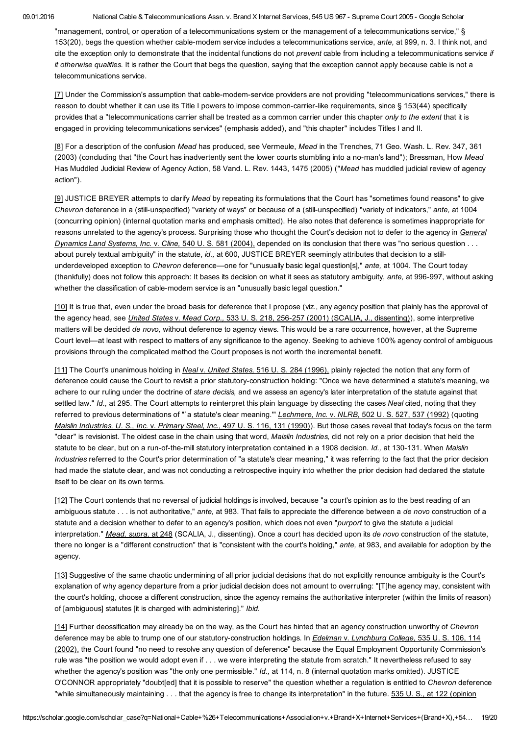"management, control, or operation of a telecommunications system or the management of a telecommunications service," § 153(20), begs the question whether cable-modem service includes a telecommunications service, ante, at 999, n. 3. I think not, and cite the exception only to demonstrate that the incidental functions do not *prevent* cable from including a telecommunications service *if it otherwise qualifies.* It is rather the Court that begs the question, saying that the exception cannot apply because cable is not a telecommunications service.

[7] Under the Commission's assumption that cable-modem-service providers are not providing "telecommunications services," there is reason to doubt whether it can use its Title I powers to impose common-carrier-like requirements, since § 153(44) specifically provides that a "telecommunications carrier shall be treated as a common carrier under this chapter *only to the extent* that it is engaged in providing telecommunications services" (emphasis added), and "this chapter" includes Titles I and II.

[8] For a description of the confusion *Mead* has produced, see Vermeule, *Mead* in the Trenches, 71 Geo. Wash. L. Rev. 347, 361 (2003) (concluding that "the Court has inadvertently sent the lower courts stumbling into a noman's land"); Bressman, How *Mead* Has Muddled Judicial Review of Agency Action, 58 Vand. L. Rev. 1443, 1475 (2005) ("*Mead* has muddled judicial review of agency action").

[9] JUSTICE BREYER attempts to clarify *Mead* by repeating its formulations that the Court has "sometimes found reasons" to give *Chevron* deference in a (still-unspecified) "variety of ways" or because of a (still-unspecified) "variety of indicators," ante, at 1004 (concurring opinion) (internal quotation marks and emphasis omitted). He also notes that deference is sometimes inappropriate for reasons unrelated to the agency's process. Surprising those who thought the Court's decision not to defer to the agency in *General Dynamics Land Systems, Inc.* v. *Cline,* 540 U. S. 581 (2004), depended on its [conclusion](https://scholar.google.com/scholar_case?case=15090100818725786430&q=National+Cable+%26+Telecommunications+Association+v.+Brand+X+Internet+Services+(Brand+X),+545+U.S.+967,+125+S.Ct.+2688,+162+Lae+Ed.2d+820+(2005)&hl=en&as_sdt=6,33&scilh=0) that there was "no serious question . . . about purely textual ambiguity" in the statute, *id.,* at 600, JUSTICE BREYER seemingly attributes that decision to a stillunderdeveloped exception to *Chevron* deference—one for "unusually basic legal question[s]," *ante,* at 1004. The Court today (thankfully) does not follow this approach: It bases its decision on what it sees as statutory ambiguity, *ante,* at 996997, without asking whether the classification of cable-modem service is an "unusually basic legal question."

[10] It is true that, even under the broad basis for deference that I propose (viz., any agency position that plainly has the approval of the agency head, see *United States v. Mead Corp.*, 533 U. S. 218, 256-257 (2001) (SCALIA, J., [dissenting\)](https://scholar.google.com/scholar_case?case=6553117666921312576&q=National+Cable+%26+Telecommunications+Association+v.+Brand+X+Internet+Services+(Brand+X),+545+U.S.+967,+125+S.Ct.+2688,+162+Lae+Ed.2d+820+(2005)&hl=en&as_sdt=6,33&scilh=0)), some interpretive matters will be decided *de novo,* without deference to agency views. This would be a rare occurrence, however, at the Supreme Court level—at least with respect to matters of any significance to the agency. Seeking to achieve 100% agency control of ambiguous provisions through the complicated method the Court proposes is not worth the incremental benefit.

[11] The Court's unanimous holding in *Neal* v. *United States,* 516 U. S. 284 [\(1996\),](https://scholar.google.com/scholar_case?case=8436673715475999169&q=National+Cable+%26+Telecommunications+Association+v.+Brand+X+Internet+Services+(Brand+X),+545+U.S.+967,+125+S.Ct.+2688,+162+Lae+Ed.2d+820+(2005)&hl=en&as_sdt=6,33&scilh=0) plainly rejected the notion that any form of deference could cause the Court to revisit a prior statutoryconstruction holding: "Once we have determined a statute's meaning, we adhere to our ruling under the doctrine of *stare decisis,* and we assess an agency's later interpretation of the statute against that settled law." *Id.,* at 295. The Court attempts to reinterpret this plain language by dissecting the cases *Neal* cited, noting that they referred to previous determinations of "`a statute's clear meaning.'" *[Lechmere,](https://scholar.google.com/scholar_case?case=6996155669119993724&q=National+Cable+%26+Telecommunications+Association+v.+Brand+X+Internet+Services+(Brand+X),+545+U.S.+967,+125+S.Ct.+2688,+162+Lae+Ed.2d+820+(2005)&hl=en&as_sdt=6,33&scilh=0) Inc.* v. *NLRB,* 502 U. S. 527, 537 (1992) (quoting *Maislin [Industries,](https://scholar.google.com/scholar_case?case=17011768680440697570&q=National+Cable+%26+Telecommunications+Association+v.+Brand+X+Internet+Services+(Brand+X),+545+U.S.+967,+125+S.Ct.+2688,+162+Lae+Ed.2d+820+(2005)&hl=en&as_sdt=6,33&scilh=0) U. S., Inc.* v. *Primary Steel, Inc.,* 497 U. S. 116, 131 (1990)). But those cases reveal that today's focus on the term "clear" is revisionist. The oldest case in the chain using that word, *Maislin Industries,* did not rely on a prior decision that held the statute to be clear, but on a run-of-the-mill statutory interpretation contained in a 1908 decision. *Id.*, at 130-131. When *Maislin Industries* referred to the Court's prior determination of "a statute's clear meaning," it was referring to the fact that the prior decision had made the statute clear, and was not conducting a retrospective inquiry into whether the prior decision had declared the statute itself to be clear on its own terms.

[12] The Court contends that no reversal of judicial holdings is involved, because "a court's opinion as to the best reading of an ambiguous statute . . . is not authoritative," *ante,* at 983. That fails to appreciate the difference between a *de novo* construction of a statute and a decision whether to defer to an agency's position, which does not even "*purport* to give the statute a judicial interpretation." *[Mead,](https://scholar.google.com/scholar_case?case=6553117666921312576&q=National+Cable+%26+Telecommunications+Association+v.+Brand+X+Internet+Services+(Brand+X),+545+U.S.+967,+125+S.Ct.+2688,+162+Lae+Ed.2d+820+(2005)&hl=en&as_sdt=6,33&scilh=0) supra,* at 248 (SCALIA, J., dissenting). Once a court has decided upon its *de novo* construction of the statute, there no longer is a "different construction" that is "consistent with the court's holding," *ante,* at 983, and available for adoption by the agency.

[13] Suggestive of the same chaotic undermining of all prior judicial decisions that do not explicitly renounce ambiguity is the Court's explanation of why agency departure from a prior judicial decision does not amount to overruling: "[T]he agency may, consistent with the court's holding, choose a different construction, since the agency remains the authoritative interpreter (within the limits of reason) of [ambiguous] statutes [it is charged with administering]." *Ibid.*

[14] Further deossification may already be on the way, as the Court has hinted that an agency construction unworthy of *Chevron* deference may be able to trump one of our [statutoryconstruction](https://scholar.google.com/scholar_case?case=71866730828737841&q=National+Cable+%26+Telecommunications+Association+v.+Brand+X+Internet+Services+(Brand+X),+545+U.S.+967,+125+S.Ct.+2688,+162+Lae+Ed.2d+820+(2005)&hl=en&as_sdt=6,33&scilh=0) holdings. In *Edelman* v. *Lynchburg College,* 535 U. S. 106, 114 (2002), the Court found "no need to resolve any question of deference" because the Equal Employment Opportunity Commission's rule was "the position we would adopt even if . . . we were interpreting the statute from scratch." It nevertheless refused to say whether the agency's position was "the only one permissible." *Id.*, at 114, n. 8 (internal quotation marks omitted). JUSTICE O'CONNOR appropriately "doubt[ed] that it is possible to reserve" the question whether a regulation is entitled to *Chevron* deference "while [simultaneously](https://scholar.google.com/scholar_case?case=71866730828737841&q=National+Cable+%26+Telecommunications+Association+v.+Brand+X+Internet+Services+(Brand+X),+545+U.S.+967,+125+S.Ct.+2688,+162+Lae+Ed.2d+820+(2005)&hl=en&as_sdt=6,33&scilh=0) maintaining . . . that the agency is free to change its interpretation" in the future. 535 U. S., at 122 (opinion